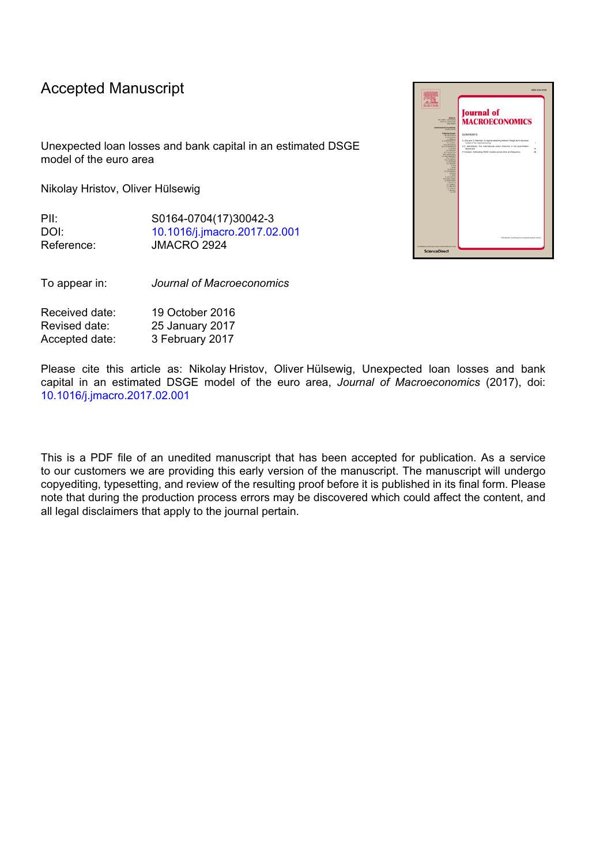# Accepted Manuscript

Unexpected loan losses and bank capital in an estimated DSGE model of the euro area

Nikolay Hristov, Oliver Hülsewig

PII: S0164-0704(17)30042-3 DOI: [10.1016/j.jmacro.2017.02.001](http://dx.doi.org/10.1016/j.jmacro.2017.02.001) Reference: JMACRO 2924

To appear in: *Journal of Macroeconomics*

| Received date: | 19 October 2016 |
|----------------|-----------------|
| Revised date:  | 25 January 2017 |
| Accepted date: | 3 February 2017 |

Please cite this article as: Nikolay Hristov, Oliver Hülsewig, Unexpected loan losses and bank capital in an estimated DSGE model of the euro area, *Journal of Macroeconomics* (2017), doi: [10.1016/j.jmacro.2017.02.001](http://dx.doi.org/10.1016/j.jmacro.2017.02.001)

This is a PDF file of an unedited manuscript that has been accepted for publication. As a service to our customers we are providing this early version of the manuscript. The manuscript will undergo copyediting, typesetting, and review of the resulting proof before it is published in its final form. Please note that during the production process errors may be discovered which could affect the content, and all legal disclaimers that apply to the journal pertain.

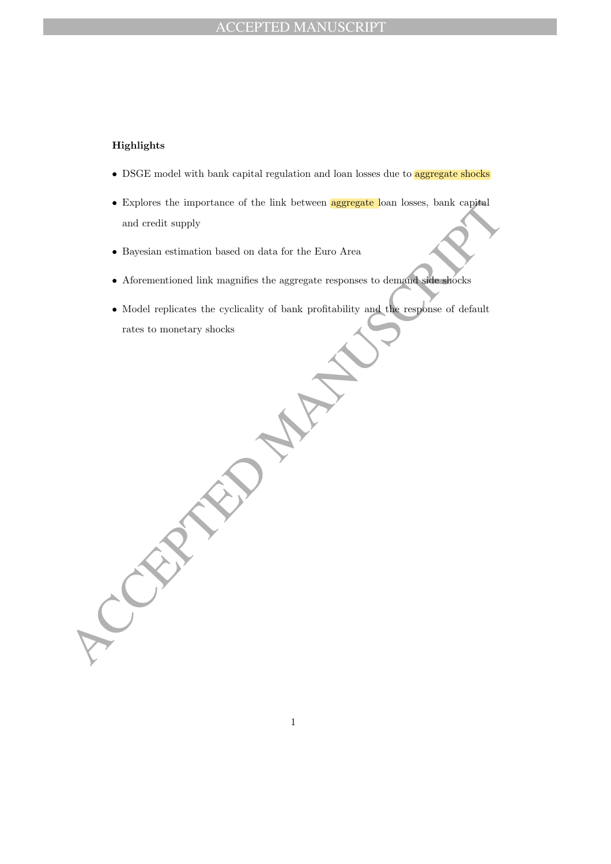# ACCEPTED MANUSCRIPT

# Highlights

- DSGE model with bank capital regulation and loan losses due to **aggregate shocks**
- Explores the importance of the link between **aggregate** loan losses, bank capital and credit supply
- Bayesian estimation based on data for the Euro Area
- Aforementioned link magnifies the aggregate responses to demand side shocks
- Explores the importance of the link between **aggregate** loan losses, bank capital<br>and credit supply<br>• Bayesian estimation based on data for the Euro Area<br>• Aforementioned link magnifies the aggregate responses to demonst • Model replicates the cyclicality of bank profitability and the response of default rates to monetary shocks

1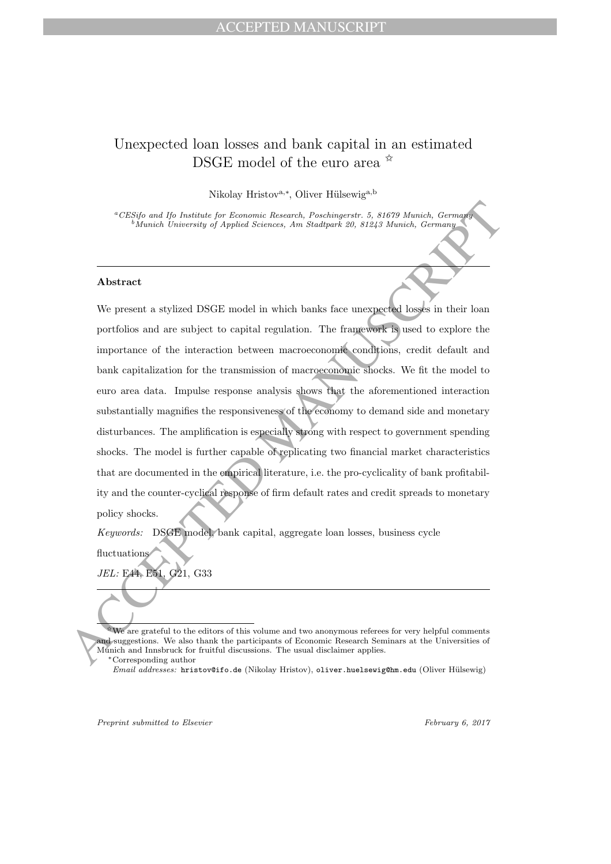# Unexpected loan losses and bank capital in an estimated DSGE model of the euro area  $\mathbb{\hat{R}}$

Nikolay Hristov<sup>a,∗</sup>, Oliver Hülsewig<sup>a,b</sup>

<sup>a</sup>CESifo and Ifo Institute for Economic Research, Poschingerstr. 5, 81679 Munich, Germany  $^{b}$ Munich University of Applied Sciences, Am Stadtpark 20, 81243 Munich, Germany

### Abstract

CESSIO and Its basitate for Economic Research, Poschwarers, 5, 81679 Manich, Germany <br>
Absence University of Applied Sciences, Am Stochyark 29, 81243 Manico, Germany<br>
Absence Theorem is a stylized DSGE model in which bank We present a stylized DSGE model in which banks face unexpected losses in their loan portfolios and are subject to capital regulation. The framework is used to explore the importance of the interaction between macroeconomic conditions, credit default and bank capitalization for the transmission of macroeconomic shocks. We fit the model to euro area data. Impulse response analysis shows that the aforementioned interaction substantially magnifies the responsiveness of the economy to demand side and monetary disturbances. The amplification is especially strong with respect to government spending shocks. The model is further capable of replicating two financial market characteristics that are documented in the empirical literature, i.e. the pro-cyclicality of bank profitability and the counter-cyclical response of firm default rates and credit spreads to monetary policy shocks.

Keywords: DSGE model, bank capital, aggregate loan losses, business cycle

fluctuations

JEL: E44, E51, G21, G33

Preprint submitted to Elsevier February 6, 2017

<sup>✩</sup>We are grateful to the editors of this volume and two anonymous referees for very helpful comments and suggestions. We also thank the participants of Economic Research Seminars at the Universities of Munich and Innsbruck for fruitful discussions. The usual disclaimer applies.

<sup>∗</sup>Corresponding author

Email addresses: hristov@ifo.de (Nikolay Hristov), oliver.huelsewig@hm.edu (Oliver Hülsewig)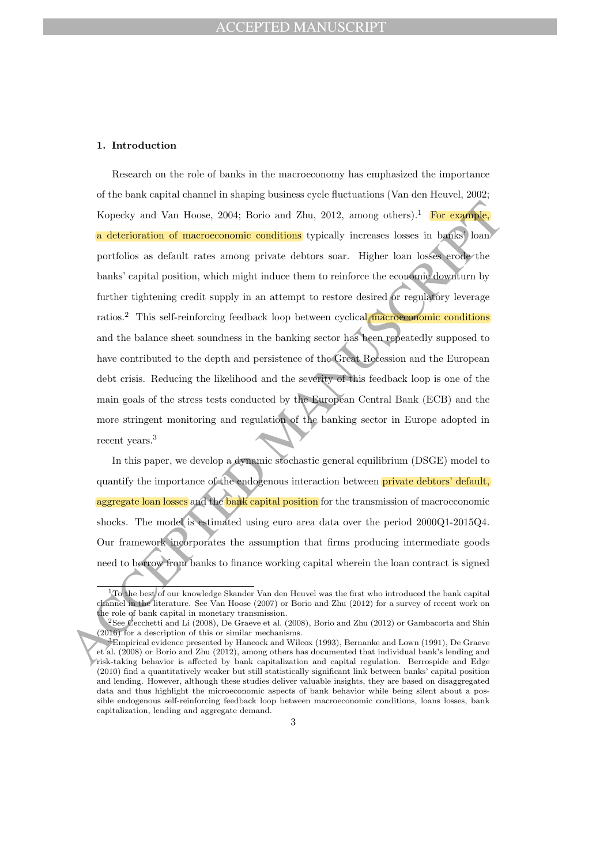### 1. Introduction

Kopecky and Van Hoose, 2004; Borio and Zhu, 2012, among others).<sup>1</sup> For example,<br>
a deterioration of macroeconomic conditions typically increases losses in hadies) bom<br>
portfolios as default rates among private debtors so Research on the role of banks in the macroeconomy has emphasized the importance of the bank capital channel in shaping business cycle fluctuations (Van den Heuvel, 2002; Kopecky and Van Hoose, 2004; Borio and Zhu, 2012, among others).<sup>1</sup> For example, a deterioration of macroeconomic conditions typically increases losses in banks' loan portfolios as default rates among private debtors soar. Higher loan losses erode the banks' capital position, which might induce them to reinforce the economic downturn by further tightening credit supply in an attempt to restore desired or regulatory leverage ratios.<sup>2</sup> This self-reinforcing feedback loop between cyclical macroeconomic conditions and the balance sheet soundness in the banking sector has been repeatedly supposed to have contributed to the depth and persistence of the Great Recession and the European debt crisis. Reducing the likelihood and the severity of this feedback loop is one of the main goals of the stress tests conducted by the European Central Bank (ECB) and the more stringent monitoring and regulation of the banking sector in Europe adopted in recent years.<sup>3</sup>

In this paper, we develop a dynamic stochastic general equilibrium (DSGE) model to quantify the importance of the endogenous interaction between **private debtors' default**, aggregate loan losses and the bank capital position for the transmission of macroeconomic shocks. The model is estimated using euro area data over the period 2000Q1-2015Q4. Our framework incorporates the assumption that firms producing intermediate goods need to borrow from banks to finance working capital wherein the loan contract is signed

<sup>1</sup>To the best of our knowledge Skander Van den Heuvel was the first who introduced the bank capital channel in the literature. See Van Hoose (2007) or Borio and Zhu (2012) for a survey of recent work on the role of bank capital in monetary transmission.

<sup>2</sup>See Cecchetti and Li (2008), De Graeve et al. (2008), Borio and Zhu (2012) or Gambacorta and Shin (2016) for a description of this or similar mechanisms.

<sup>3</sup>Empirical evidence presented by Hancock and Wilcox (1993), Bernanke and Lown (1991), De Graeve et al. (2008) or Borio and Zhu (2012), among others has documented that individual bank's lending and risk-taking behavior is affected by bank capitalization and capital regulation. Berrospide and Edge (2010) find a quantitatively weaker but still statistically significant link between banks' capital position and lending. However, although these studies deliver valuable insights, they are based on disaggregated data and thus highlight the microeconomic aspects of bank behavior while being silent about a possible endogenous self-reinforcing feedback loop between macroeconomic conditions, loans losses, bank capitalization, lending and aggregate demand.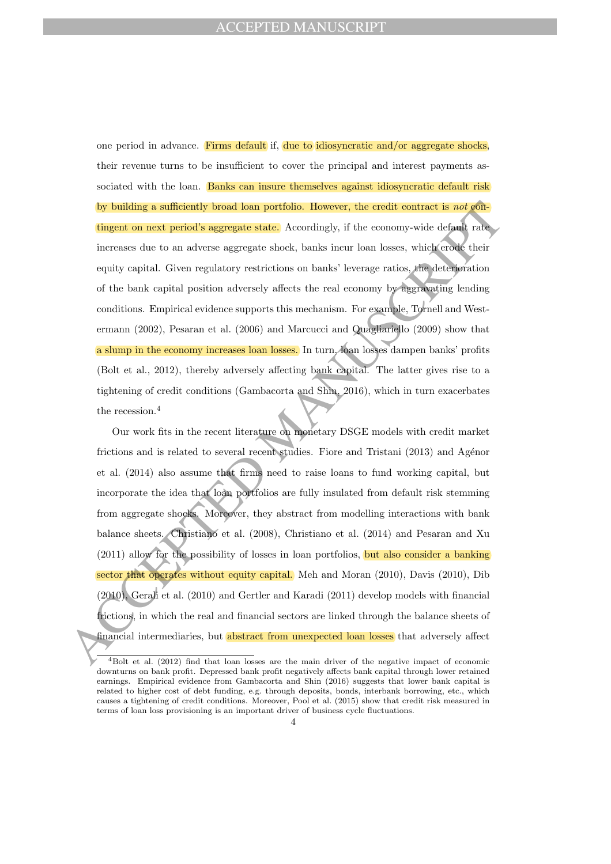by building a sufficiently broad loan portfolio. However, the credit contract is not of<br>alugent on noxi period's aggregate state, Accordingly, if the conomy-wide default race<br>increases due to an adverse aggregate state, A one period in advance. Firms default if, due to idiosyncratic and/or aggregate shocks, their revenue turns to be insufficient to cover the principal and interest payments associated with the loan. Banks can insure themselves against idiosyncratic default risk by building a sufficiently broad loan portfolio. However, the credit contract is not contingent on next period's aggregate state. Accordingly, if the economy-wide default rate increases due to an adverse aggregate shock, banks incur loan losses, which erode their equity capital. Given regulatory restrictions on banks' leverage ratios, the deterioration of the bank capital position adversely affects the real economy by aggravating lending conditions. Empirical evidence supports this mechanism. For example, Tornell and Westermann (2002), Pesaran et al. (2006) and Marcucci and Quagliariello (2009) show that a slump in the economy increases loan losses. In turn, loan losses dampen banks' profits (Bolt et al., 2012), thereby adversely affecting bank capital. The latter gives rise to a tightening of credit conditions (Gambacorta and Shin, 2016), which in turn exacerbates the recession.<sup>4</sup>

Our work fits in the recent literature on monetary DSGE models with credit market frictions and is related to several recent studies. Fiore and Tristani  $(2013)$  and Agénor et al. (2014) also assume that firms need to raise loans to fund working capital, but incorporate the idea that loan portfolios are fully insulated from default risk stemming from aggregate shocks. Moreover, they abstract from modelling interactions with bank balance sheets. Christiano et al. (2008), Christiano et al. (2014) and Pesaran and Xu (2011) allow for the possibility of losses in loan portfolios, but also consider a banking sector that operates without equity capital. Meh and Moran (2010), Davis (2010), Dib (2010), Gerali et al. (2010) and Gertler and Karadi (2011) develop models with financial frictions, in which the real and financial sectors are linked through the balance sheets of financial intermediaries, but abstract from unexpected loan losses that adversely affect

<sup>4</sup>Bolt et al. (2012) find that loan losses are the main driver of the negative impact of economic downturns on bank profit. Depressed bank profit negatively affects bank capital through lower retained earnings. Empirical evidence from Gambacorta and Shin (2016) suggests that lower bank capital is related to higher cost of debt funding, e.g. through deposits, bonds, interbank borrowing, etc., which causes a tightening of credit conditions. Moreover, Pool et al. (2015) show that credit risk measured in terms of loan loss provisioning is an important driver of business cycle fluctuations.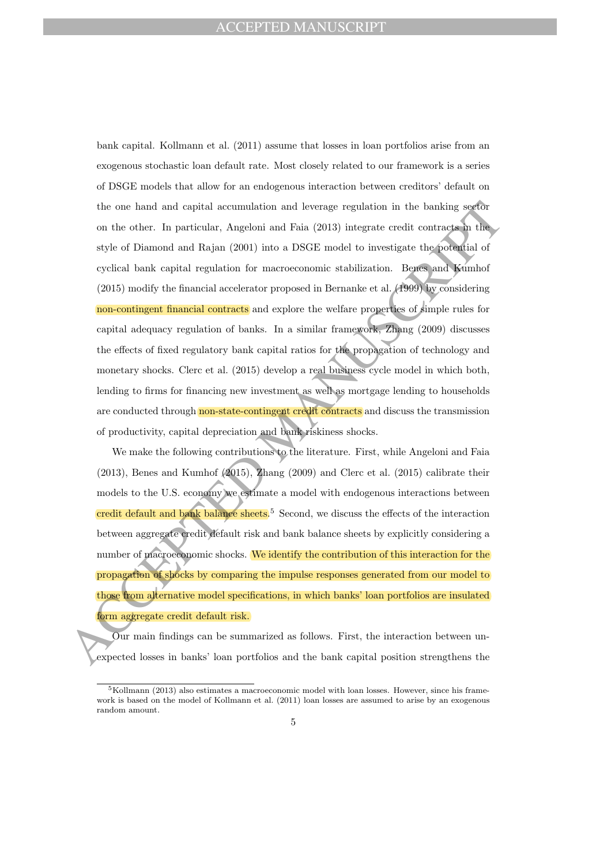the one hand and capital accumulation and leverage regulation in the banking sorform<br>on the other. In particular, Angeloni and Faia (2013) integrate credit contracts in the<br>style of Diaronel and Rajan (2001) into a DSGF m bank capital. Kollmann et al. (2011) assume that losses in loan portfolios arise from an exogenous stochastic loan default rate. Most closely related to our framework is a series of DSGE models that allow for an endogenous interaction between creditors' default on the one hand and capital accumulation and leverage regulation in the banking sector on the other. In particular, Angeloni and Faia (2013) integrate credit contracts in the style of Diamond and Rajan (2001) into a DSGE model to investigate the potential of cyclical bank capital regulation for macroeconomic stabilization. Benes and Kumhof (2015) modify the financial accelerator proposed in Bernanke et al. (1999) by considering non-contingent financial contracts and explore the welfare properties of simple rules for capital adequacy regulation of banks. In a similar framework, Zhang (2009) discusses the effects of fixed regulatory bank capital ratios for the propagation of technology and monetary shocks. Clerc et al. (2015) develop a real business cycle model in which both, lending to firms for financing new investment as well as mortgage lending to households are conducted through non-state-contingent credit contracts and discuss the transmission of productivity, capital depreciation and bank riskiness shocks.

We make the following contributions to the literature. First, while Angeloni and Faia (2013), Benes and Kumhof (2015), Zhang (2009) and Clerc et al. (2015) calibrate their models to the U.S. economy we estimate a model with endogenous interactions between credit default and bank balance sheets.<sup>5</sup> Second, we discuss the effects of the interaction between aggregate credit default risk and bank balance sheets by explicitly considering a number of macroeconomic shocks. We identify the contribution of this interaction for the propagation of shocks by comparing the impulse responses generated from our model to those from alternative model specifications, in which banks' loan portfolios are insulated form aggregate credit default risk.

Our main findings can be summarized as follows. First, the interaction between unexpected losses in banks' loan portfolios and the bank capital position strengthens the

 $5$ Kollmann (2013) also estimates a macroeconomic model with loan losses. However, since his framework is based on the model of Kollmann et al. (2011) loan losses are assumed to arise by an exogenous random amount.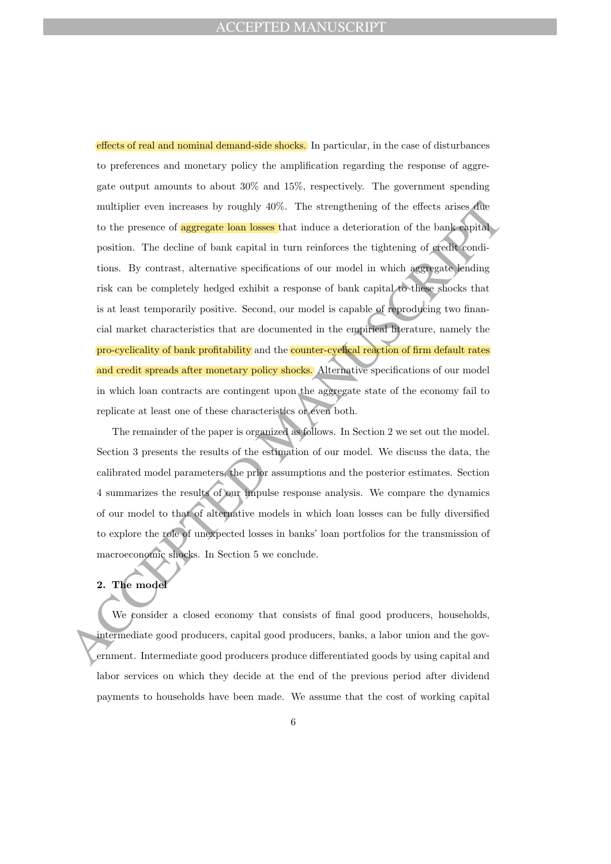multiplier even increases by roughly 40%. The strengthening of the effects arises due<br>to the presence of **agregate loan loss**. That induce a deterioration of the bank-expirime<br>position . The deducation for bank expirime m effects of real and nominal demand-side shocks. In particular, in the case of disturbances to preferences and monetary policy the amplification regarding the response of aggregate output amounts to about 30% and 15%, respectively. The government spending multiplier even increases by roughly 40%. The strengthening of the effects arises due to the presence of **aggregate loan losses** that induce a deterioration of the bank capital position. The decline of bank capital in turn reinforces the tightening of credit conditions. By contrast, alternative specifications of our model in which aggregate lending risk can be completely hedged exhibit a response of bank capital to these shocks that is at least temporarily positive. Second, our model is capable of reproducing two financial market characteristics that are documented in the empirical literature, namely the pro-cyclicality of bank profitability and the counter-cyclical reaction of firm default rates and credit spreads after monetary policy shocks. Alternative specifications of our model in which loan contracts are contingent upon the aggregate state of the economy fail to replicate at least one of these characteristics or even both.

The remainder of the paper is organized as follows. In Section 2 we set out the model. Section 3 presents the results of the estimation of our model. We discuss the data, the calibrated model parameters, the prior assumptions and the posterior estimates. Section 4 summarizes the results of our impulse response analysis. We compare the dynamics of our model to that of alternative models in which loan losses can be fully diversified to explore the role of unexpected losses in banks' loan portfolios for the transmission of macroeconomic shocks. In Section 5 we conclude.

# 2. The model

We consider a closed economy that consists of final good producers, households, intermediate good producers, capital good producers, banks, a labor union and the government. Intermediate good producers produce differentiated goods by using capital and labor services on which they decide at the end of the previous period after dividend payments to households have been made. We assume that the cost of working capital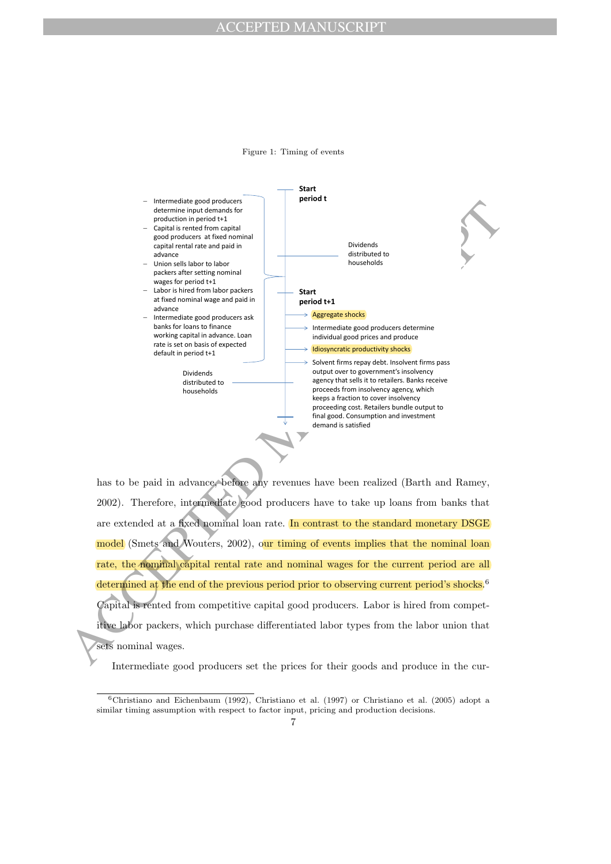# ACCEPTED MANUSCRIPT

Figure 1: Timing of events



has to be paid in advance, before any revenues have been realized (Barth and Ramey, 2002). Therefore, intermediate good producers have to take up loans from banks that are extended at a fixed nominal loan rate. In contrast to the standard monetary DSGE model (Smets and Wouters, 2002), our timing of events implies that the nominal loan rate, the nominal capital rental rate and nominal wages for the current period are all determined at the end of the previous period prior to observing current period's shocks.<sup>6</sup> Capital is rented from competitive capital good producers. Labor is hired from competitive labor packers, which purchase differentiated labor types from the labor union that sets nominal wages.

Intermediate good producers set the prices for their goods and produce in the cur-

<sup>6</sup>Christiano and Eichenbaum (1992), Christiano et al. (1997) or Christiano et al. (2005) adopt a similar timing assumption with respect to factor input, pricing and production decisions.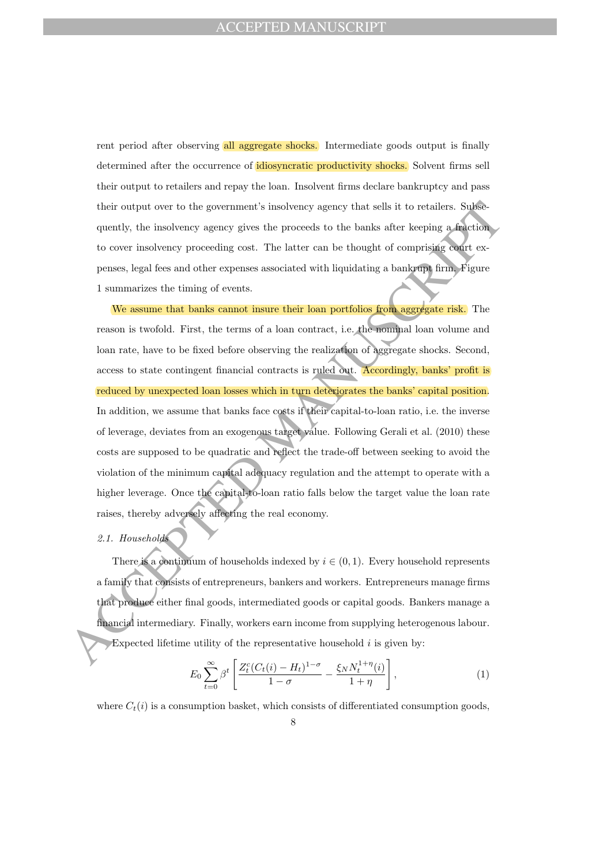rent period after observing all aggregate shocks. Intermediate goods output is finally determined after the occurrence of idiosyncratic productivity shocks. Solvent firms sell their output to retailers and repay the loan. Insolvent firms declare bankruptcy and pass their output over to the government's insolvency agency that sells it to retailers. Subsequently, the insolvency agency gives the proceeds to the banks after keeping a fraction to cover insolvency proceeding cost. The latter can be thought of comprising court expenses, legal fees and other expenses associated with liquidating a bankrupt firm. Figure 1 summarizes the timing of events.

their output over to the government's insolvency agency that sells it to retailes. Subsequently, the insolvency agency gives the proceeds to the banks after keeping a helichary to cover insolvency agency gives the proceed We assume that banks cannot insure their loan portfolios from aggregate risk. The reason is twofold. First, the terms of a loan contract, i.e. the nominal loan volume and loan rate, have to be fixed before observing the realization of aggregate shocks. Second, access to state contingent financial contracts is ruled out. Accordingly, banks' profit is reduced by unexpected loan losses which in turn deteriorates the banks' capital position. In addition, we assume that banks face costs if their capital-to-loan ratio, i.e. the inverse of leverage, deviates from an exogenous target value. Following Gerali et al. (2010) these costs are supposed to be quadratic and reflect the trade-off between seeking to avoid the violation of the minimum capital adequacy regulation and the attempt to operate with a higher leverage. Once the capital-to-loan ratio falls below the target value the loan rate raises, thereby adversely affecting the real economy.

### 2.1. Households

There is a continuum of households indexed by  $i \in (0, 1)$ . Every household represents a family that consists of entrepreneurs, bankers and workers. Entrepreneurs manage firms that produce either final goods, intermediated goods or capital goods. Bankers manage a financial intermediary. Finally, workers earn income from supplying heterogenous labour. Expected lifetime utility of the representative household  $i$  is given by:

$$
E_0 \sum_{t=0}^{\infty} \beta^t \left[ \frac{Z_t^c (C_t(i) - H_t)^{1-\sigma}}{1-\sigma} - \frac{\xi_N N_t^{1+\eta}(i)}{1+\eta} \right],
$$
 (1)

where  $C_t(i)$  is a consumption basket, which consists of differentiated consumption goods,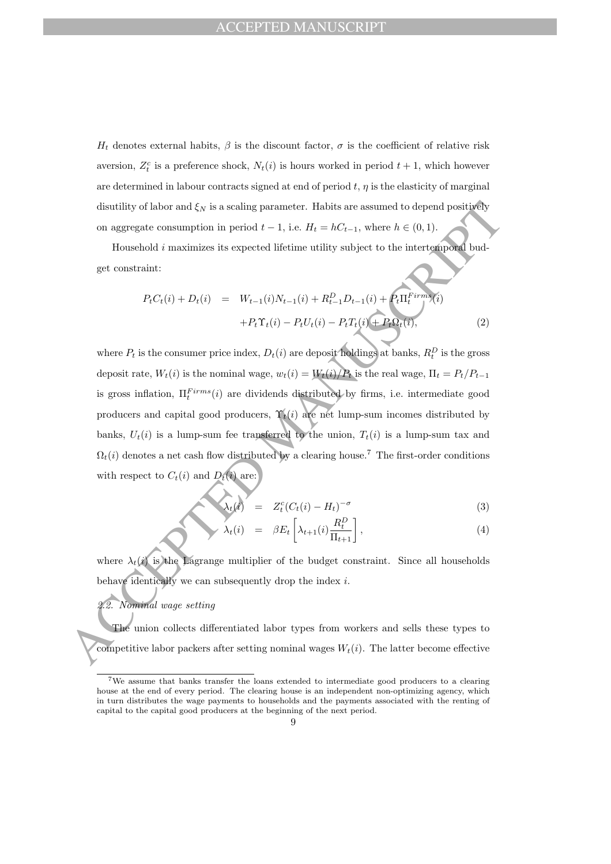$H_t$  denotes external habits,  $\beta$  is the discount factor,  $\sigma$  is the coefficient of relative risk aversion,  $Z_t^c$  is a preference shock,  $N_t(i)$  is hours worked in period  $t + 1$ , which however are determined in labour contracts signed at end of period  $t, \eta$  is the elasticity of marginal disutility of labor and  $\xi_N$  is a scaling parameter. Habits are assumed to depend positively on aggregate consumption in period  $t - 1$ , i.e.  $H_t = hC_{t-1}$ , where  $h \in (0, 1)$ .

Household i maximizes its expected lifetime utility subject to the intertemporal budget constraint:

$$
P_t C_t(i) + D_t(i) = W_{t-1}(i)N_{t-1}(i) + R_{t-1}^D D_{t-1}(i) + P_t \Pi_t^{Firms}(i)
$$
  
+
$$
P_t \Upsilon_t(i) - P_t U_t(i) - P_t T_t(i) + P_t \Omega_t(i),
$$
 (2)

disutility of labor and  $\xi_N$  is a scaling parameter. Habits are assumed to depend positively<br>on aggregate consumption in period  $t-1$ , i.e.  $H_t = \hbar C_{t-1}$ , where  $\hbar \in (0,1)$ .<br>Honoridal smoothnist its separated lifetime where  $P_t$  is the consumer price index,  $D_t(i)$  are deposit holdings at banks,  $R_t^D$  is the gross deposit rate,  $W_t(i)$  is the nominal wage,  $w_t(i) = W_t(i)/P_t$  is the real wage,  $\Pi_t = P_t/P_{t-1}$ is gross inflation,  $\Pi_t^{Firms}(i)$  are dividends distributed by firms, i.e. intermediate good producers and capital good producers,  $\Upsilon_t(i)$  are net lump-sum incomes distributed by banks,  $U_t(i)$  is a lump-sum fee transferred to the union,  $T_t(i)$  is a lump-sum tax and  $\Omega_t(i)$  denotes a net cash flow distributed by a clearing house.<sup>7</sup> The first-order conditions with respect to  $C_t(i)$  and  $D_t(i)$  are:

$$
\lambda_t(t) = Z_t^c (C_t(i) - H_t)^{-\sigma} \tag{3}
$$

$$
\lambda_t(i) = \beta E_t \left[ \lambda_{t+1}(i) \frac{R_t^D}{\Pi_{t+1}} \right], \tag{4}
$$

where  $\lambda_t(i)$  is the Lagrange multiplier of the budget constraint. Since all households behave identically we can subsequently drop the index  $i$ .

# 2.2. Nominal wage setting

The union collects differentiated labor types from workers and sells these types to competitive labor packers after setting nominal wages  $W_t(i)$ . The latter become effective

<sup>7</sup>We assume that banks transfer the loans extended to intermediate good producers to a clearing house at the end of every period. The clearing house is an independent non-optimizing agency, which in turn distributes the wage payments to households and the payments associated with the renting of capital to the capital good producers at the beginning of the next period.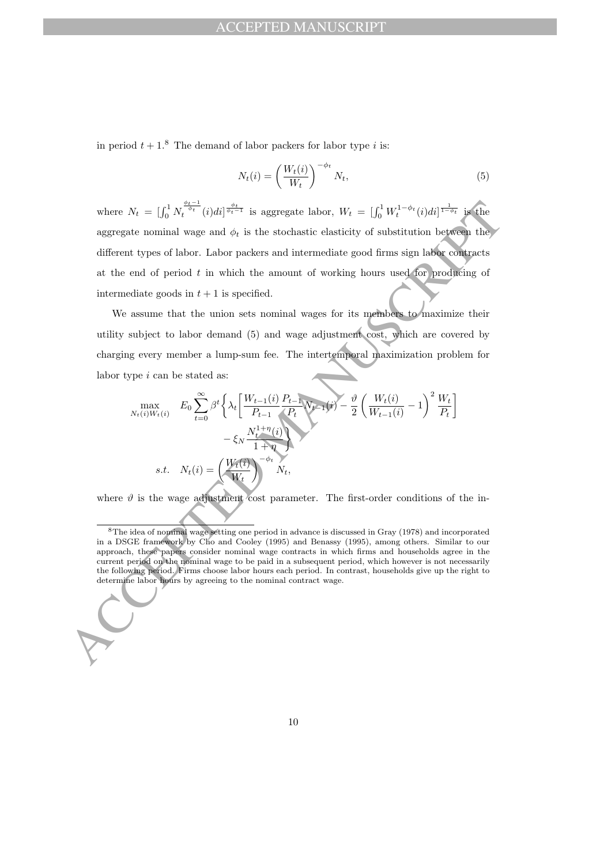in period  $t + 1$ <sup>8</sup>. The demand of labor packers for labor type i is:

$$
N_t(i) = \left(\frac{W_t(i)}{W_t}\right)^{-\phi_t} N_t,
$$
\n(5)

where  $N_i = |\int_0^1 N_i^{\frac{N_i-1}{2}} (i)di|^{\frac{N_i-1}{2}}$  is aggregate labor,  $W_i = |\int_0^1 W_i^{1-\delta} r(i)di|^{\frac{N_i-1}{2}}$  is aggregate nominal wage and  $\phi_i$  is the stochastic elasticity of substitution between the different types of lobor. La where  $N_t = \left[\int_0^1 N_t^{\frac{\phi_t-1}{\phi_t}}(i)di\right]^{\frac{\phi_t}{\phi_t-1}}$  is aggregate labor,  $W_t = \left[\int_0^1 W_t^{1-\phi_t}(i)di\right]^{\frac{1}{1-\phi_t}}$  is the aggregate nominal wage and  $\phi_t$  is the stochastic elasticity of substitution between the different types of labor. Labor packers and intermediate good firms sign labor contracts at the end of period  $t$  in which the amount of working hours used for producing of intermediate goods in  $t + 1$  is specified.

We assume that the union sets nominal wages for its members to maximize their utility subject to labor demand (5) and wage adjustment cost, which are covered by charging every member a lump-sum fee. The intertemporal maximization problem for labor type  $i$  can be stated as:

$$
\max_{N_t(i)W_t(i)} E_0 \sum_{t=0}^{\infty} \beta^t \left\{ \lambda_t \left[ \frac{W_{t-1}(i)}{P_{t-1}} \frac{P_{t-1}}{P_t} \mathbf{W}_{t-1}(i) - \frac{\vartheta}{2} \left( \frac{W_t(i)}{W_{t-1}(i)} - 1 \right)^2 \frac{W_t}{P_t} \right] - \xi_N \frac{N_t^{1+\eta}(i)}{1+\eta}
$$
\ns.t.  $N_t(i) = \left( \frac{W_t(i)}{W_t} \right)^{-\phi_t} N_t$ ,

where  $\vartheta$  is the wage adjustment cost parameter. The first-order conditions of the in-

<sup>8</sup>The idea of nominal wage setting one period in advance is discussed in Gray (1978) and incorporated in a DSGE framework by Cho and Cooley (1995) and Benassy (1995), among others. Similar to our approach, these papers consider nominal wage contracts in which firms and households agree in the current period on the nominal wage to be paid in a subsequent period, which however is not necessarily the following period. Firms choose labor hours each period. In contrast, households give up the right to determine labor hours by agreeing to the nominal contract wage.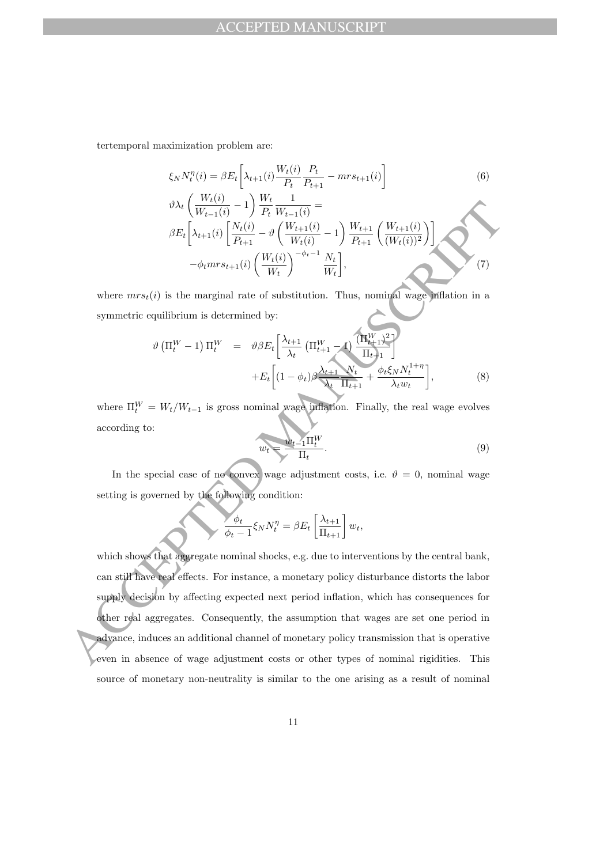tertemporal maximization problem are:

$$
\xi_{N} N_{t}^{\eta}(i) = \beta E_{t} \left[ \lambda_{t+1}(i) \frac{W_{t}(i)}{P_{t}} \frac{P_{t}}{P_{t+1}} - m r s_{t+1}(i) \right]
$$
(6)  

$$
\vartheta \lambda_{t} \left( \frac{W_{t}(i)}{W_{t-1}(i)} - 1 \right) \frac{W_{t}}{P_{t}} \frac{1}{W_{t-1}(i)} =
$$
  

$$
\beta E_{t} \left[ \lambda_{t+1}(i) \left[ \frac{N_{t}(i)}{P_{t+1}} - \vartheta \left( \frac{W_{t+1}(i)}{W_{t}(i)} - 1 \right) \frac{W_{t+1}}{P_{t+1}} \left( \frac{W_{t+1}(i)}{(W_{t}(i))^{2}} \right) \right] - \varphi_{t} m r s_{t+1}(i) \left( \frac{W_{t}(i)}{W_{t}} \right)^{-\varphi_{t}-1} \frac{N_{t}}{W_{t}} \right],
$$
(7)

where  $mrs_t(i)$  is the marginal rate of substitution. Thus, nominal wage inflation in a symmetric equilibrium is determined by:

$$
\vartheta\left(\Pi_t^W - 1\right)\Pi_t^W = \vartheta\beta E_t \left[\frac{\lambda_{t+1}}{\lambda_t}\left(\Pi_{t+1}^W - 1\right)\frac{(\Pi_{t+1}^W)^2}{\Pi_{t+1}}\right] + E_t \left[(1 - \phi_t)\beta\frac{\lambda_{t+1}}{\lambda_t}\frac{\mathcal{N}_t}{\Pi_{t+1}} + \frac{\phi_t\xi_N N_t^{1+\eta}}{\lambda_t w_t}\right],
$$
\n(8)

where  $\Pi_t^W = W_t/W_{t-1}$  is gross nominal wage inflation. Finally, the real wage evolves according to:

$$
w_t = \frac{w_{t-1} \Pi_t^W}{\Pi_t}.
$$
\n<sup>(9)</sup>

In the special case of no convex wage adjustment costs, i.e.  $\vartheta = 0$ , nominal wage setting is governed by the following condition:

$$
\phi_t}{\phi_t-1}\xi_N N_t^{\eta} = \beta E_t \left[\frac{\lambda_{t+1}}{\Pi_{t+1}}\right]w_t,
$$

 $\frac{\partial \lambda_i \left( \frac{W_{i+1}}{W_{i-1}(i)} - 1 \right)}{\partial E_i \left[ \lambda_{i+1}(i) \left[ \frac{W_i(i)}{P_{i+1}} - \theta \left( \frac{W_{i+1}}{W_{i}(i)} - 1 \right) \frac{W_{i+1}}{P_{i+1}} \left( \frac{W_{i+1}(i)}{(W_i(i))^2} \right) \right]$ <br>
where  $\lim_{\phi} W^{n/8} + \frac{1}{10} \left( \frac{W_i(i)}{W_i} - \theta \left( \frac{W_i(i)}{W_i} \right)^{-\phi_1 - 1} \frac{W_i}{W_i$ which shows that aggregate nominal shocks, e.g. due to interventions by the central bank, can still have real effects. For instance, a monetary policy disturbance distorts the labor supply decision by affecting expected next period inflation, which has consequences for other real aggregates. Consequently, the assumption that wages are set one period in advance, induces an additional channel of monetary policy transmission that is operative even in absence of wage adjustment costs or other types of nominal rigidities. This source of monetary non-neutrality is similar to the one arising as a result of nominal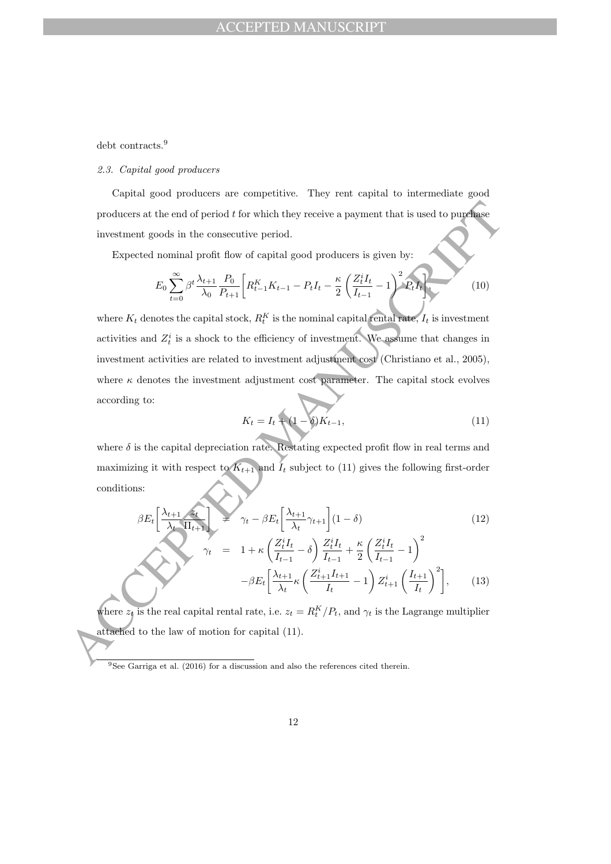debt contracts.<sup>9</sup>

### 2.3. Capital good producers

Capital good producers are competitive. They rent capital to intermediate good producers at the end of period  $t$  for which they receive a payment that is used to purchase investment goods in the consecutive period.

Expected nominal profit flow of capital good producers is given by:

$$
E_0 \sum_{t=0}^{\infty} \beta^t \frac{\lambda_{t+1}}{\lambda_0} \frac{P_0}{P_{t+1}} \left[ R_{t-1}^K K_{t-1} - P_t I_t - \frac{\kappa}{2} \left( \frac{Z_t^i I_t}{I_{t-1}} - 1 \right)^2 P_t I_t \right].
$$
 (10)

producers at the end of period  $t$  for which they receive a payment that is used to purefuse<br>investment goods in the consecutive period.<br>
Expected nominal profit flow of capital good producers is given by:<br>  $E_0 \sum_{i=0}^{\in$ where  $K_t$  denotes the capital stock,  $R_t^K$  is the nominal capital rental rate,  $I_t$  is investment activities and  $Z_t^i$  is a shock to the efficiency of investment. We assume that changes in investment activities are related to investment adjustment cost (Christiano et al., 2005), where  $\kappa$  denotes the investment adjustment cost parameter. The capital stock evolves according to:

$$
K_t = I_t + (1 - \delta)K_{t-1},
$$
\n(11)

where  $\delta$  is the capital depreciation rate. Restating expected profit flow in real terms and maximizing it with respect to  $K_{t+1}$  and  $I_t$  subject to (11) gives the following first-order conditions:

$$
\beta E_t \left[ \frac{\lambda_{t+1}}{\lambda_t} \frac{z_t}{\Pi_{t+1}} \right] = \gamma_t - \beta E_t \left[ \frac{\lambda_{t+1}}{\lambda_t} \gamma_{t+1} \right] (1 - \delta) \tag{12}
$$
\n
$$
\gamma_t = 1 + \kappa \left( \frac{Z_t^i I_t}{I_{t+1}} - \delta \right) \frac{Z_t^i I_t}{I_{t+1}} + \frac{\kappa}{2} \left( \frac{Z_t^i I_t}{I_{t+1}} - 1 \right)^2
$$

$$
\mu = \frac{1 + \kappa \left(I_{t-1} - \frac{1}{2}\right) I_{t-1}}{-\beta E_t \left[\frac{\lambda_{t+1}}{\lambda_t} \kappa \left(\frac{Z_{t+1}^i I_{t+1}}{I_t} - 1\right) Z_{t+1}^i \left(\frac{I_{t+1}}{I_t}\right)^2\right]},
$$
(13)

where  $z_t$  is the real capital rental rate, i.e.  $z_t = R_t^K/P_t$ , and  $\gamma_t$  is the Lagrange multiplier attached to the law of motion for capital (11).

 $9$ See Garriga et al. (2016) for a discussion and also the references cited therein.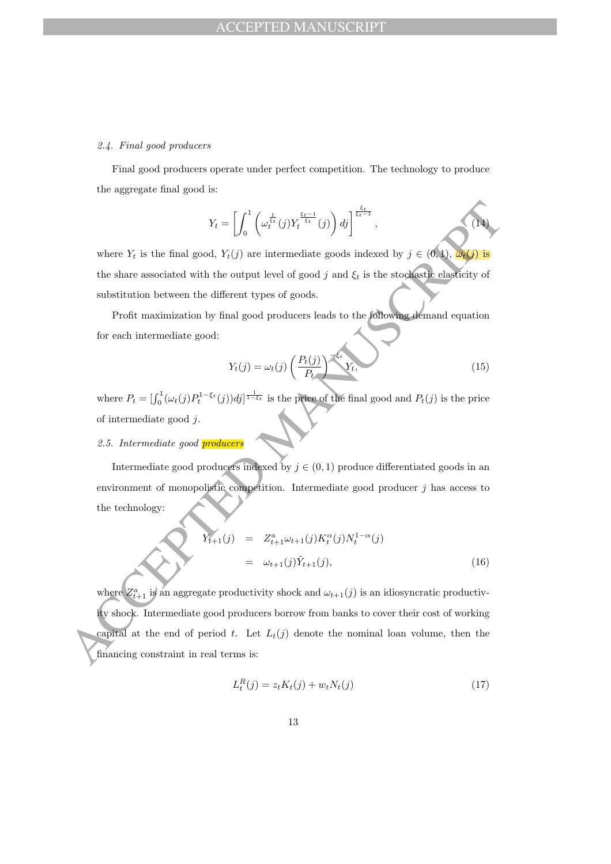### 2.4. Final good producers

Final good producers operate under perfect competition. The technology to produce the aggregate final good is:

$$
Y_t = \left[ \int_0^1 \left( \omega_t^{\frac{1}{\xi_t}}(j) Y_t^{\frac{\xi_t - 1}{\xi_t}}(j) \right) dj \right]^{\frac{\xi_t}{\xi_t - 1}}, \tag{14}
$$

where  $Y_t$  is the final good,  $Y_t(j)$  are intermediate goods indexed by  $j \in (0,1)$ ,  $\omega_t(j)$  is the share associated with the output level of good j and  $\xi_t$  is the stochastic elasticity of substitution between the different types of goods.

Profit maximization by final good producers leads to the following demand equation for each intermediate good:

$$
Y_t(j) = \omega_t(j) \left(\frac{P_t(j)}{P_t}\right)^{-\xi_t} Y_t,
$$
\n(15)

where  $P_t = \left[\int_0^1 (\omega_t(j) P_t^{1-\xi_t}(j)) d_j \right]^{\frac{1}{1-\xi_t}}$  is the price of the final good and  $P_t(j)$  is the price of intermediate good j.

# 2.5. Intermediate good **producers**

Intermediate good producers indexed by  $j \in (0, 1)$  produce differentiated goods in an environment of monopolistic competition. Intermediate good producer  $j$  has access to the technology:

$$
Y_{t+1}(j) = Z_{t+1}^{a} \omega_{t+1}(j) K_t^{\alpha}(j) N_t^{1-\alpha}(j)
$$
  
=  $\omega_{t+1}(j) \tilde{Y}_{t+1}(j),$  (16)

 $\label{eq:2.1} Y_1=\begin{bmatrix} \int_0^1 \left(\omega_1^{12}(\mathbf{j})Y_1^{4\frac{1}{12}}(\mathbf{j})\right) d\mathbf{j} \end{bmatrix}^{\frac{1}{12}+1},$  where  $Y_1$  is the final good,<br> $Y_1(\mathbf{j})$  are intermediate goods indexed by<br> $j\in(0,1)$ . Note this substitution between the different t where  $Z_{t+1}^a$  is an aggregate productivity shock and  $\omega_{t+1}(j)$  is an idiosyncratic productivity shock. Intermediate good producers borrow from banks to cover their cost of working capital at the end of period t. Let  $L_t(j)$  denote the nominal loan volume, then the financing constraint in real terms is:

$$
L_t^R(j) = z_t K_t(j) + w_t N_t(j)
$$
\n(17)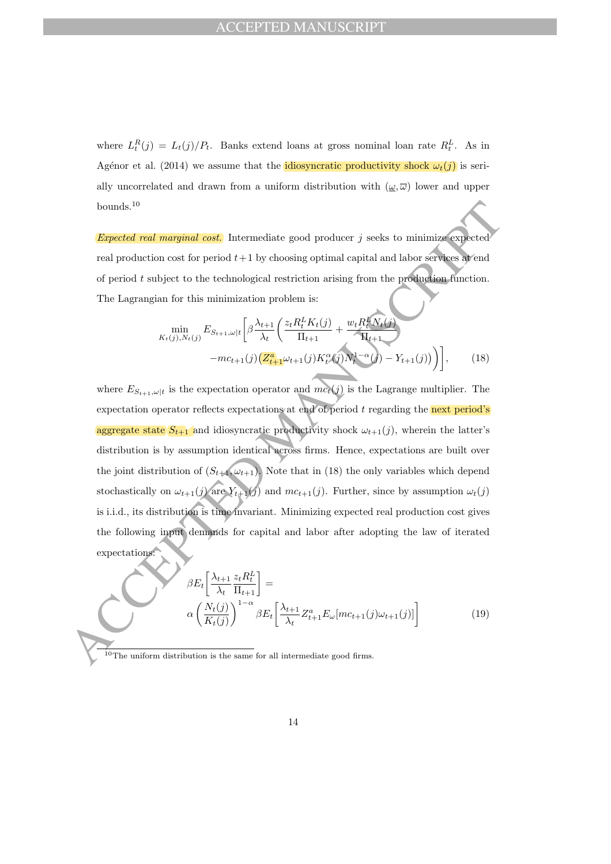where  $L_t^R(j) = L_t(j)/P_t$ . Banks extend loans at gross nominal loan rate  $R_t^L$ . As in Agénor et al. (2014) we assume that the idiosyncratic productivity shock  $\omega_t(j)$  is serially uncorrelated and drawn from a uniform distribution with  $(\underline{\omega}, \overline{\omega})$  lower and upper bounds.<sup>10</sup>

Expected real marginal cost. Intermediate good producer  $j$  seeks to minimize expected real production cost for period  $t+1$  by choosing optimal capital and labor services at end of period  $t$  subject to the technological restriction arising from the production function. The Lagrangian for this minimization problem is:

$$
\min_{K_t(j), N_t(j)} E_{S_{t+1}, \omega|t} \left[ \beta \frac{\lambda_{t+1}}{\lambda_t} \left( \frac{z_t R_t^L K_t(j)}{\Pi_{t+1}} + \frac{w_t R_t^L N_t(j)}{\Pi_{t+1}} \right. \right. \\ \left. -mc_{t+1}(j) \left( \frac{Z_{t+1}^a \omega_{t+1}(j) K_t^{\alpha}(j)}{\Pi_{t}(j)} N_t^{1-\alpha}(j) - Y_{t+1}(j) \right) \right], \tag{18}
$$

bounds.<sup>19</sup><br> **Expected real marginal cost.** Intermediate good producer *j* seeks to minimize expected<br>
real production cost for period  $t + 1$  by choosing optimal capital and labor services are<br>
of period  $t$  subject to th where  $E_{S_{t+1}, \omega|t}$  is the expectation operator and  $mc_t(j)$  is the Lagrange multiplier. The expectation operator reflects expectations at end of period  $t$  regarding the next period's aggregate state  $S_{t+1}$  and idiosyncratic productivity shock  $\omega_{t+1}(j)$ , wherein the latter's distribution is by assumption identical across firms. Hence, expectations are built over the joint distribution of  $(S_{t+1}, \omega_{t+1})$ . Note that in (18) the only variables which depend stochastically on  $\omega_{t+1}(j)$  are  $Y_{t+1}(j)$  and  $mc_{t+1}(j)$ . Further, since by assumption  $\omega_t(j)$ is i.i.d., its distribution is time invariant. Minimizing expected real production cost gives the following input demands for capital and labor after adopting the law of iterated expectations:

$$
\beta E_t \left[ \frac{\lambda_{t+1}}{\lambda_t} \frac{z_t R_t^L}{\Pi_{t+1}} \right] =
$$
  
\n
$$
\alpha \left( \frac{N_t(j)}{K_t(j)} \right)^{1-\alpha} \beta E_t \left[ \frac{\lambda_{t+1}}{\lambda_t} Z_{t+1}^a E_\omega [mc_{t+1}(j)\omega_{t+1}(j)] \right]
$$
\n(19)

 $10$  The uniform distribution is the same for all intermediate good firms.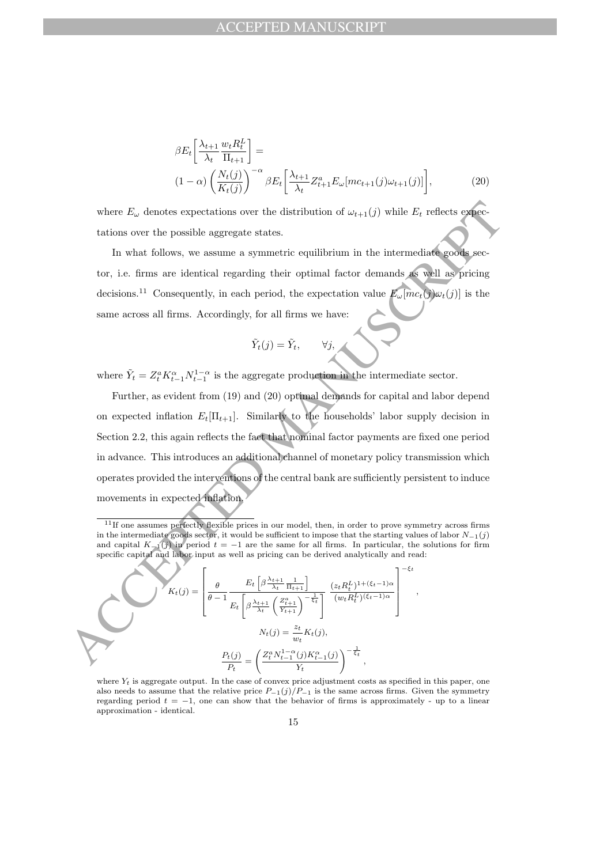$$
\beta E_t \left[ \frac{\lambda_{t+1}}{\lambda_t} \frac{w_t R_t^L}{\Pi_{t+1}} \right] =
$$
\n
$$
(1 - \alpha) \left( \frac{N_t(j)}{K_t(j)} \right)^{-\alpha} \beta E_t \left[ \frac{\lambda_{t+1}}{\lambda_t} Z_{t+1}^a E_\omega [mc_{t+1}(j)\omega_{t+1}(j)] \right],
$$
\n(20)

where  $E_{\omega}$  denotes expectations over the distribution of  $\omega_{t+1}(j)$  while  $E_t$  reflects expectations over the possible aggregate states.

In what follows, we assume a symmetric equilibrium in the intermediate goods sector, i.e. firms are identical regarding their optimal factor demands as well as pricing decisions.<sup>11</sup> Consequently, in each period, the expectation value  $E_{\omega}[mc_t(j)\omega_t(j)]$  is the same across all firms. Accordingly, for all firms we have:

$$
\tilde{Y}_t(j) = \tilde{Y}_t, \qquad \forall j,
$$

where  $\tilde{Y}_t = Z_t^a K_{t-1}^{\alpha} N_{t-1}^{1-\alpha}$  is the aggregate production in the intermediate sector.

where  $E_{\omega}$  denotes expectations over the distribution of  $\omega_{t+1}(j)$  while  $E_t$  reflects expectations over the possible aggregate states.<br>
In what follows, we assume a symmetric equilibrium in the intermediate goods se Further, as evident from (19) and (20) optimal demands for capital and labor depend on expected inflation  $E_t[\Pi_{t+1}]$ . Similarly to the households' labor supply decision in Section 2.2, this again reflects the fact that nominal factor payments are fixed one period in advance. This introduces an additional channel of monetary policy transmission which operates provided the interventions of the central bank are sufficiently persistent to induce movements in expected inflation.

,

$$
K_t(j) = \left[\frac{\theta}{\theta - 1} \frac{E_t \left[\beta \frac{\lambda_{t+1}}{\lambda_t} \frac{1}{\Pi_{t+1}}\right]}{E_t \left[\beta \frac{\lambda_{t+1}}{\lambda_t} \left(\frac{Z_{t+1}^a}{Y_{t+1}}\right)^{-\frac{1}{\xi_t}}\right]} \frac{(z_t R_t^L)^{1 + (\xi_t - 1)\alpha}}{(w_t R_t^L)^{(\xi_t - 1)\alpha}}\right]^{-\xi_t}
$$

$$
N_t(j) = \frac{z_t}{w_t} K_t(j),
$$

$$
\frac{P_t(j)}{P_t} = \left(\frac{Z_t^a N_{t-1}^{1-\alpha}(j) K_{t-1}^{\alpha}(j)}{Y_t}\right)^{-\frac{1}{\xi_t}},
$$

where  $Y_t$  is aggregate output. In the case of convex price adjustment costs as specified in this paper, one also needs to assume that the relative price  $P_{-1}(j)/P_{-1}$  is the same across firms. Given the symmetry regarding period  $t = -1$ , one can show that the behavior of firms is approximately - up to a linear approximation - identical.

<sup>&</sup>lt;sup>11</sup>If one assumes perfectly flexible prices in our model, then, in order to prove symmetry across firms in the intermediate goods sector, it would be sufficient to impose that the starting values of labor  $N_{-1}(j)$ and capital  $K_{-1}(j)$  in period  $t = -1$  are the same for all firms. In particular, the solutions for firm specific capital and labor input as well as pricing can be derived analytically and read: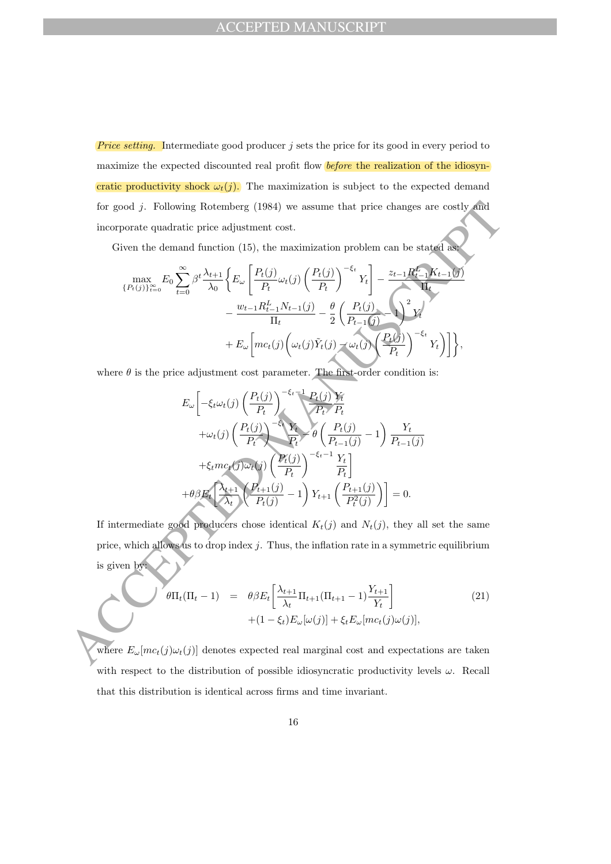**Price setting.** Intermediate good producer  $j$  sets the price for its good in every period to maximize the expected discounted real profit flow *before* the realization of the idiosyncratic productivity shock  $\omega_t(j)$ . The maximization is subject to the expected demand for good j. Following Rotemberg (1984) we assume that price changes are costly and incorporate quadratic price adjustment cost.

Given the demand function (15), the maximization problem can be stated as:

for good *j*. Following Rotemberg (1984) we assume that price changes are costly and  
\nincorporate quadratic price adjustment cost.  
\nGiven the demand function (15), the maximization problem can be stated as  
\n
$$
\max_{\{P_i(j)\}_{i=0}^{\infty} E_0 \sum_{t=0}^{\infty} \beta^t \frac{\lambda_{t+1}}{\lambda_0} \left\{ E_{\omega} \left[ \frac{P_i(j)}{P_i} \omega_t(j) \left( \frac{P_i(j)}{P_t} \right)^{-\epsilon_t} Y_t \right] - \frac{z_{t-1} R_{t-1}^t K_{t-1}(j)}{\Gamma_t} \right. \\ \left. - \frac{w_{t-1} R_{t-1}^t N_{t-1}(j)}{\Gamma_t} - \frac{\theta}{2} \left( \frac{P_i(j)}{P_{t-1}(j)} \right)^2 Y_t \right. \\ \left. + E_{\omega} \left[ mc_i(j) \left( \omega_t(j) \tilde{Y}_t(j) - \omega_t(j) \left( \frac{P_i(j)}{P_t} \right)^{-\epsilon_t} Y_t \right) \right] \right\},
$$
\nwhere  $\theta$  is the price adjustment cost parameter. The first-order condition is:  
\n
$$
E_{\omega} \left[ -\xi_t \omega_t(j) \left( \frac{P_i(j)}{P_t} \right)^{-\epsilon_t-1} \frac{P_i(j)}{P_t} \right. \\ \left. + \omega_t(j) \left( \frac{P_i(j)}{P_t} \right)^{-\epsilon_t-1} \frac{Y_t}{P_t} \right]
$$
\n
$$
+ \xi_t m c_t(j) \omega_t(j) \left( \frac{P_i(j)}{P_t} \right)^{-\epsilon_t-1} \frac{Y_t}{P_t} \right]
$$
\n
$$
+ \theta \beta E_t \left[ \frac{\lambda_{t+1}}{\lambda_t} \left( \frac{P_{t+1}(j)}{P_t(j)} - 1 \right) Y_{t+1} \left( \frac{P_{t+1}(j)}{P_t^2(j)} \right) \right] = 0.
$$
\nIf intermediate good products chose identical  $K_t(j)$  and  $N_t(j)$ , they all set the same price, which allows us to drop index *j*. Thus, the inflation rate in a symmetric equilibrium is given by:  
\n
$$
\theta \Pi_t(\Pi_t - 1) = \theta \beta E_t \left[ \frac{\lambda_{t+1}}{\lambda_t} \Pi_{t+1}(\Pi_{t+1} - 1) \frac{Y_{t+1}}{
$$

where  $\theta$  is the price adjustment cost parameter. The first-order condition is:

$$
E_{\omega} \left[ -\xi_t \omega_t(j) \left( \frac{P_t(j)}{P_t} \right)^{-\xi_t - 1} \frac{P_t(j)}{P_t} \frac{Y_t}{P_t}
$$
  
+
$$
\omega_t(j) \left( \frac{P_t(j)}{P_t} \right)^{-\xi_t} \frac{Y_t}{P_t} \rightarrow \theta \left( \frac{P_t(j)}{P_{t-1}(j)} - 1 \right) \frac{Y_t}{P_{t-1}(j)}
$$
  
+
$$
\xi_t m c_t(j) \omega_t(j) \left( \frac{P_t(j)}{P_t} \right)^{-\xi_t - 1} \frac{Y_t}{P_t}
$$
  
+
$$
\theta \beta E_t \left[ \frac{\lambda_{t+1}}{\lambda_t} \left( \frac{P_{t+1}(j)}{P_t(j)} - 1 \right) Y_{t+1} \left( \frac{P_{t+1}(j)}{P_t^2(j)} \right) \right] = 0.
$$

If intermediate good producers chose identical  $K_t(j)$  and  $N_t(j)$ , they all set the same price, which allows us to drop index  $j$ . Thus, the inflation rate in a symmetric equilibrium is given by:

$$
\theta\Pi_t(\Pi_t - 1) = \theta\beta E_t \left[ \frac{\lambda_{t+1}}{\lambda_t} \Pi_{t+1} (\Pi_{t+1} - 1) \frac{Y_{t+1}}{Y_t} \right] + (1 - \xi_t) E_\omega[\omega(j)] + \xi_t E_\omega[mc_t(j)\omega(j)],
$$
\n(21)

where  $E_{\omega}[mc_{t}(j)\omega_{t}(j)]$  denotes expected real marginal cost and expectations are taken with respect to the distribution of possible idiosyncratic productivity levels  $\omega$ . Recall that this distribution is identical across firms and time invariant.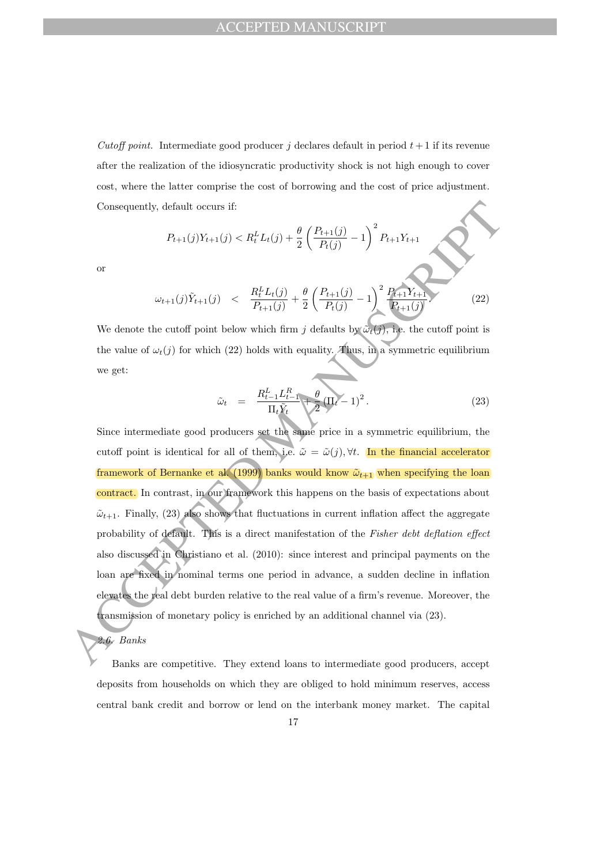Cutoff point. Intermediate good producer j declares default in period  $t+1$  if its revenue after the realization of the idiosyncratic productivity shock is not high enough to cover cost, where the latter comprise the cost of borrowing and the cost of price adjustment. Consequently, default occurs if:

$$
P_{t+1}(j)Y_{t+1}(j) < R_t^L L_t(j) + \frac{\theta}{2} \left( \frac{P_{t+1}(j)}{P_t(j)} - 1 \right)^2 P_{t+1} Y_{t+1}
$$

or

$$
\omega_{t+1}(j)\tilde{Y}_{t+1}(j) \quad < \quad \frac{R_t^L L_t(j)}{P_{t+1}(j)} + \frac{\theta}{2} \left( \frac{P_{t+1}(j)}{P_t(j)} - 1 \right)^2 \frac{P_{t+1} Y_{t+1}}{P_{t+1}(j)} \tag{22}
$$

We denote the cutoff point below which firm j defaults by  $\tilde{\omega}_t(j)$ , i.e. the cutoff point is the value of  $\omega_t(j)$  for which (22) holds with equality. Thus, in a symmetric equilibrium we get:

$$
\tilde{\omega}_t = \frac{R_{t-1}^L L_{t-1}^R}{\Pi_t \tilde{Y}_t} + \frac{\theta}{2} (\Pi_t - 1)^2.
$$
\n(23)

Consequently, default occurs if:<br>  $P_{i+1}(j)Y_{i+1}(j) < R_i^L L_i(j) + \frac{\theta}{2} \left(\frac{P_{i+1}(j)}{P_i(j)} - 1\right)^2 P_{i+1}Y_{i+1}$ <br>
or<br>  $\omega_{i+1}(j)\tilde{Y}_{i+1}(j) < \frac{R_i^L I_i(j)}{P_{i+1}(j)} + \frac{\theta}{2} \left(\frac{P_{i+1}(j)}{P_i(j)} - 1\right)^2 \frac{P_{i+1}Y_{i+1}}{P_{i+1}(j)}$ <br>
We deno Since intermediate good producers set the same price in a symmetric equilibrium, the cutoff point is identical for all of them, i.e.  $\tilde{\omega} = \tilde{\omega}(j)$ ,  $\forall t$ . In the financial accelerator framework of Bernanke et al. (1999) banks would know  $\tilde{\omega}_{t+1}$  when specifying the loan contract. In contrast, in our framework this happens on the basis of expectations about  $\tilde{\omega}_{t+1}$ . Finally, (23) also shows that fluctuations in current inflation affect the aggregate probability of default. This is a direct manifestation of the Fisher debt deflation effect also discussed in Christiano et al. (2010): since interest and principal payments on the loan are fixed in nominal terms one period in advance, a sudden decline in inflation elevates the real debt burden relative to the real value of a firm's revenue. Moreover, the transmission of monetary policy is enriched by an additional channel via (23).

2.6. Banks

Banks are competitive. They extend loans to intermediate good producers, accept deposits from households on which they are obliged to hold minimum reserves, access central bank credit and borrow or lend on the interbank money market. The capital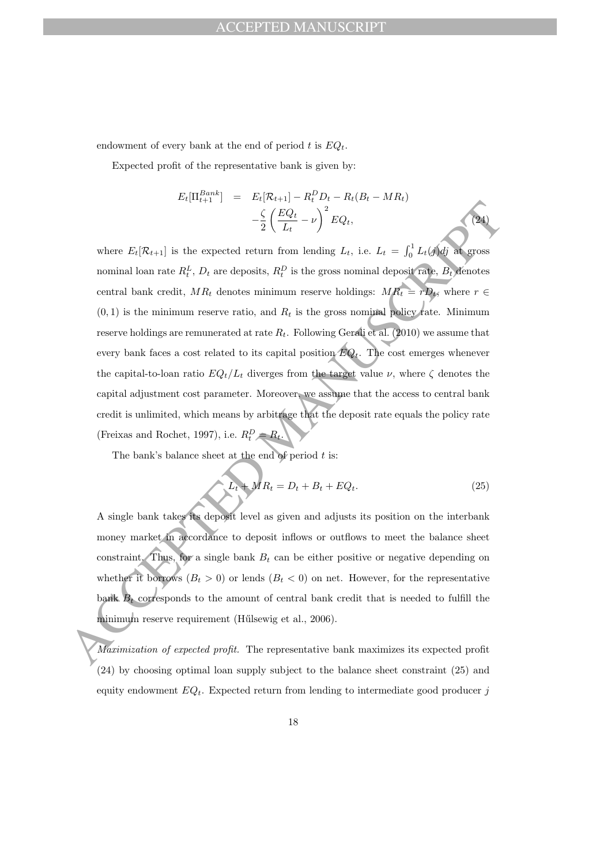# ACCEPTED MANUSCRIPT

endowment of every bank at the end of period t is  $EQ_t$ .

Expected profit of the representative bank is given by:

$$
E_t[\Pi_{t+1}^{Bank}] = E_t[\mathcal{R}_{t+1}] - R_t^D D_t - R_t(B_t - MR_t) - \frac{\zeta}{2} \left( \frac{EQ_t}{L_t} - \nu \right)^2 EQ_t,
$$
\n(24)

ACCEPTED MANUSCRIPT where  $E_t[\mathcal{R}_{t+1}]$  is the expected return from lending  $L_t$ , i.e.  $L_t = \int_0^1 L_t(j)dj$  at gross nominal loan rate  $R_t^L$ ,  $D_t$  are deposits,  $R_t^D$  is the gross nominal deposit rate,  $B_t$  denotes central bank credit,  $MR_t$  denotes minimum reserve holdings:  $MR_t = rD_t$ , where  $r \in$  $(0, 1)$  is the minimum reserve ratio, and  $R_t$  is the gross nominal policy rate. Minimum reserve holdings are remunerated at rate  $R_t$ . Following Gerali et al. (2010) we assume that every bank faces a cost related to its capital position  $EQ_t$ . The cost emerges whenever the capital-to-loan ratio  $EQ_t/L_t$  diverges from the target value  $\nu$ , where  $\zeta$  denotes the capital adjustment cost parameter. Moreover, we assume that the access to central bank credit is unlimited, which means by arbitrage that the deposit rate equals the policy rate (Freixas and Rochet, 1997), i.e.  $R_t^D = R_t$ .

The bank's balance sheet at the end of period  $t$  is:

$$
L_t + MR_t = D_t + B_t + EQ_t.
$$
\n
$$
(25)
$$

A single bank takes its deposit level as given and adjusts its position on the interbank money market in accordance to deposit inflows or outflows to meet the balance sheet constraint. Thus, for a single bank  $B_t$  can be either positive or negative depending on whether it borrows  $(B_t > 0)$  or lends  $(B_t < 0)$  on net. However, for the representative bank  $B_t$  corresponds to the amount of central bank credit that is needed to fulfill the minimum reserve requirement (Hűlsewig et al., 2006).

Maximization of expected profit. The representative bank maximizes its expected profit (24) by choosing optimal loan supply subject to the balance sheet constraint (25) and equity endowment  $EQ_t$ . Expected return from lending to intermediate good producer j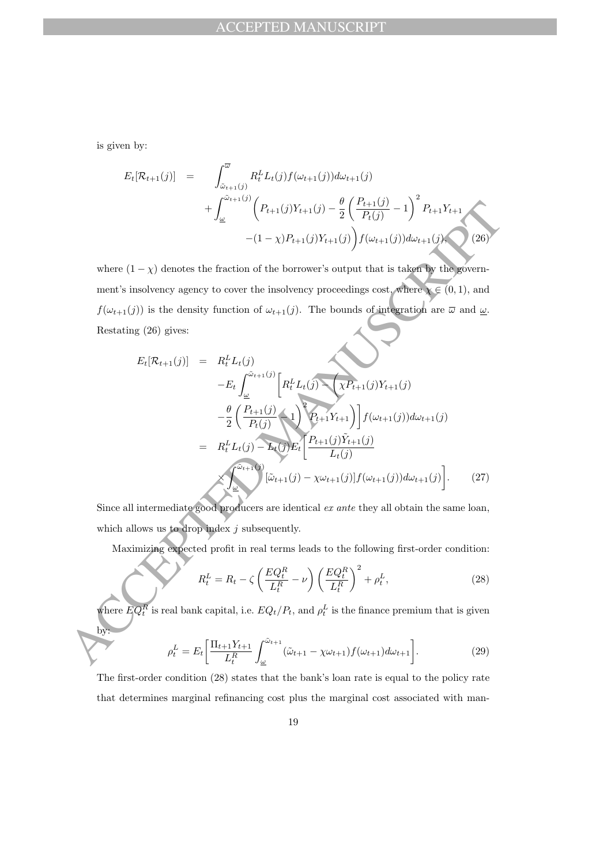is given by:

$$
E_t[\mathcal{R}_{t+1}(j)] = \int_{\tilde{\omega}_{t+1}(j)}^{\overline{\omega}} R_t^L L_t(j) f(\omega_{t+1}(j)) d\omega_{t+1}(j)
$$
  
+ 
$$
\int_{\underline{\omega}}^{\tilde{\omega}_{t+1}(j)} \left( P_{t+1}(j) Y_{t+1}(j) - \frac{\theta}{2} \left( \frac{P_{t+1}(j)}{P_t(j)} - 1 \right)^2 P_{t+1} Y_{t+1} - (1 - \chi) P_{t+1}(j) Y_{t+1}(j) \right) f(\omega_{t+1}(j)) d\omega_{t+1}(j), \qquad (26)
$$

where  $(1 - \chi)$  denotes the fraction of the borrower's output that is taken by the government's insolvency agency to cover the insolvency proceedings cost, where  $\chi \in (0,1)$ , and  $f(\omega_{t+1}(j))$  is the density function of  $\omega_{t+1}(j)$ . The bounds of integration are  $\overline{\omega}$  and  $\underline{\omega}$ . Restating (26) gives:

$$
+\int_{\omega}^{2} (P_{t+1}(j)Y_{t+1}(j) - \frac{\theta}{2} \left(\frac{P_{t+1}(j)}{P_t(j)} - 1\right) P_{t+1}Y_{t+1}
$$
  
\n
$$
-(1 - \chi)P_{t+1}(j)Y_{t+1}(j) \int f(\omega_{t+1}(j))d\omega_{t+1}(j)
$$
  
\nwhere  $(1 - \chi)$  denotes the fraction of the borrower's output that is taken by the government's insolvency agency to cover the insolvency procedures cost, where  $\chi \in (0, 1)$ , and  
\n $f(\omega_{t+1}(j))$  is the density function of  $\omega_{t+1}(j)$ . The bounds of interaction are  $\overline{\omega}$  and  $\underline{\omega}$ .  
\nRestating (26) gives:  
\n
$$
E_t[R_{t+1}(j)] = R_t^L L_t(j)
$$
\n
$$
-E_t \int_{\underline{\omega}}^{\omega_{t+1}(j)} \left[R_t^L L_t(j) \chi P_{t+1}(j)Y_{t+1}(j) - \frac{\theta}{2} \left(\frac{P_{t+1}(j)}{P_{t+1}(j)}\right) \right] f(\omega_{t+1}(j)) d\omega_{t+1}(j)
$$
  
\n
$$
= R_t^L L_t(j) - \sum_{t} (P_{t+1}(j)Y_{t+1}(j) - \frac{\theta}{L_t(j)}) f(\omega_{t+1}(j)) d\omega_{t+1}(j)
$$
  
\nSince all intermediate good producers are identical *ex ante* they all obtain the same loan,  
\nwhich allows us to drop index *j* subsequently.  
\nMaximizing expected profit in real terms leads to the following first-order condition:  
\n
$$
R_t^L = R_t - \zeta \left(\frac{EQ_t^R}{L_t^R} - \nu\right) \left(\frac{EQ_t^R}{L_t^R}\right)^2 + \rho_t^L,
$$
\n(28)  
\nwhere  $EQ_t^T$  is real bank capital, i.e.  $EQ_t/P_t$ , and  $\rho_t^L$  is the finance premium that is given  
\n
$$
\rho_t^L = E_t \left[\frac{\prod_{t+1} Y_{t+1}}{L_t^R}\int_{\omega}^{\omega_{t+1}} (\tilde{\omega}_{t+1} - \chi \omega_{t+1}) f(\omega_{t+1}) d\omega_{t+1}\right].
$$
\n(29)

Since all intermediate good producers are identical ex ante they all obtain the same loan, which allows us to drop index  $j$  subsequently.

Maximizing expected profit in real terms leads to the following first-order condition:

$$
R_t^L = R_t - \zeta \left(\frac{EQ_t^R}{L_t^R} - \nu\right) \left(\frac{EQ_t^R}{L_t^R}\right)^2 + \rho_t^L,\tag{28}
$$

where  $EQ_t^R$  is real bank capital, i.e.  $EQ_t/P_t$ , and  $\rho_t^L$  is the finance premium that is given by:

$$
\rho_t^L = E_t \left[ \frac{\Pi_{t+1} Y_{t+1}}{L_t^R} \int_{\underline{\omega}}^{\tilde{\omega}_{t+1}} (\tilde{\omega}_{t+1} - \chi \omega_{t+1}) f(\omega_{t+1}) d\omega_{t+1} \right]. \tag{29}
$$

The first-order condition (28) states that the bank's loan rate is equal to the policy rate that determines marginal refinancing cost plus the marginal cost associated with man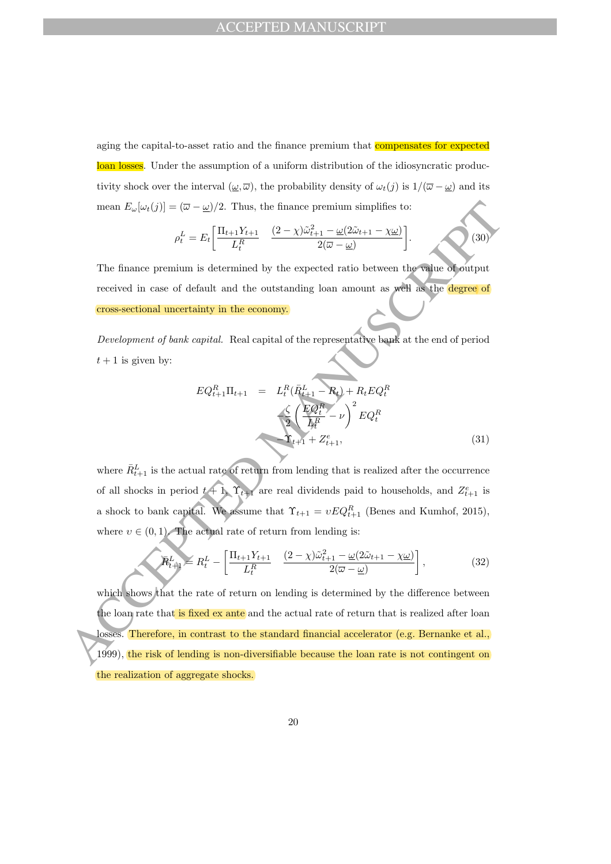aging the capital-to-asset ratio and the finance premium that compensates for expected loan losses. Under the assumption of a uniform distribution of the idiosyncratic productivity shock over the interval  $(\underline{\omega}, \overline{\omega})$ , the probability density of  $\omega_t(j)$  is  $1/(\overline{\omega} - \underline{\omega})$  and its mean  $E_{\omega}[\omega_t(j)] = (\overline{\omega} - \underline{\omega})/2$ . Thus, the finance premium simplifies to:

$$
\rho_t^L = E_t \left[ \frac{\Pi_{t+1} Y_{t+1}}{L_t^R} \quad \frac{(2-\chi)\tilde{\omega}_{t+1}^2 - \underline{\omega}(2\tilde{\omega}_{t+1} - \chi \underline{\omega})}{2(\overline{\omega} - \underline{\omega})} \right].
$$
 (30)

The finance premium is determined by the expected ratio between the value of output received in case of default and the outstanding loan amount as well as the degree of cross-sectional uncertainty in the economy.

Development of bank capital. Real capital of the representative bank at the end of period  $t + 1$  is given by:

$$
EQ_{t+1}^{R} \Pi_{t+1} = L_{t}^{R} (\bar{R}_{t+1}^{L} - R_{t}) + R_{t}EQ_{t}^{R}
$$

$$
\frac{\zeta}{2} \left( \frac{EQ_{t}^{R}}{L_{t}^{R}} - \nu \right)^{2} EQ_{t}^{R}
$$

$$
\Upsilon_{t+1} + Z_{t+1}^{e}, \tag{31}
$$

where  $\bar{R}_{t+1}^L$  is the actual rate of return from lending that is realized after the occurrence of all shocks in period  $t + 1$ ,  $\Upsilon_{t+1}$  are real dividends paid to households, and  $Z_{t+1}^e$  is a shock to bank capital. We assume that  $\Upsilon_{t+1} = vEQ_{t+1}^R$  (Benes and Kumhof, 2015), where  $v \in (0, 1)$ . The actual rate of return from lending is:

$$
\widetilde{R}_{t+1}^{L} \geq R_t^L - \left[ \frac{\Pi_{t+1} Y_{t+1}}{L_t^R} \quad \frac{(2-\chi)\widetilde{\omega}_{t+1}^2 - \underline{\omega}(2\widetilde{\omega}_{t+1} - \chi \underline{\omega})}{2(\overline{\omega} - \underline{\omega})} \right],\tag{32}
$$

mean  $E_{\sigma}(x_i(j)) = (\overline{\omega} - \underline{\omega})/2$ . Thus, the finance premium simplifies to:<br>  $\rho_t^L = E_t \left[ \frac{\prod_{i=1}^{L} Y_{i+1}}{L_i^R} - \frac{(2 - \chi)\overline{\omega_{t+1}^2} - \underline{\omega}(2 - \underline{\omega})}{2(\overline{\omega} - \underline{\omega})} \right].$ <br>
The finance premium is determined by the expected ratio which shows that the rate of return on lending is determined by the difference between the loan rate that is fixed ex ante and the actual rate of return that is realized after loan losses. Therefore, in contrast to the standard financial accelerator (e.g. Bernanke et al., 1999), the risk of lending is non-diversifiable because the loan rate is not contingent on the realization of aggregate shocks.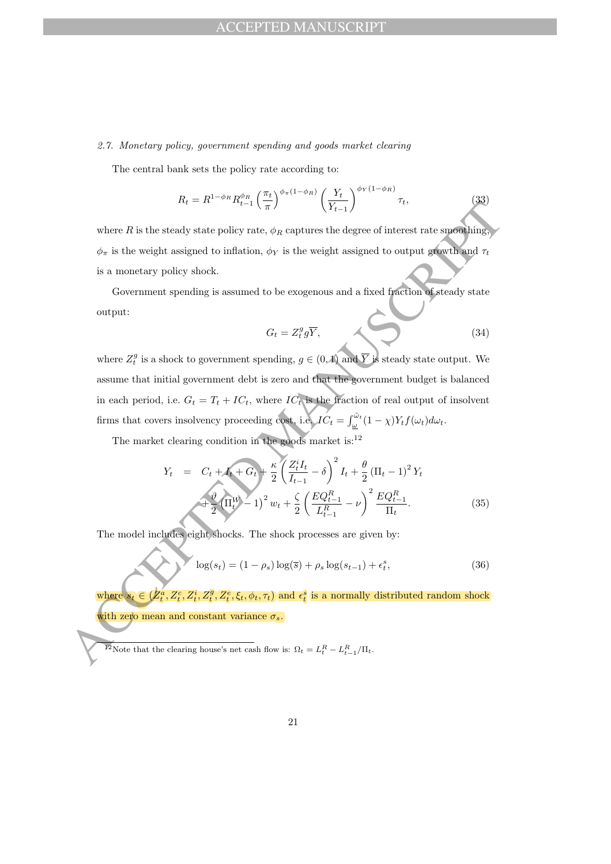### 2.7. Monetary policy, government spending and goods market clearing

The central bank sets the policy rate according to:

$$
R_t = R^{1-\phi_R} R_{t-1}^{\phi_R} \left(\frac{\pi_t}{\pi}\right)^{\phi_\pi(1-\phi_R)} \left(\frac{Y_t}{Y_{t-1}}\right)^{\phi_Y(1-\phi_R)} \tau_t, \tag{33}
$$

where  $R$  is the steady state policy rate,  $\phi_R$  captures the degree of interest rate smoothing,  $\phi_{\pi}$  is the weight assigned to inflation,  $\phi_{Y}$  is the weight assigned to output growth and  $\tau_{t}$ is a monetary policy shock.

Government spending is assumed to be exogenous and a fixed fraction of steady state output:

$$
G_t = Z_t^g g \overline{Y},\tag{34}
$$

where R is the steady state policy rate,  $\phi_L$  is the weight assigned to output assigned to  $\phi_L$  is the weight assigned to output assigned to output assigned to  $\phi_L$  is the weight assigned to output assigned to output a where  $Z_t^g$  is a shock to government spending,  $g \in (0,1)$  and  $\overline{Y}$  is steady state output. We assume that initial government debt is zero and that the government budget is balanced in each period, i.e.  $G_t = T_t + IC_t$ , where  $IC_t$  is the fraction of real output of insolvent firms that covers insolvency proceeding cost, i.e.  $IC_t = \int_{\underline{\omega}}^{\tilde{\omega}_t} (1 - \chi) Y_t f(\omega_t) d\omega_t$ .

The market clearing condition in the goods market is: $^{12}$ 

$$
Y_t = C_t + I_t + G_t + \frac{\kappa}{2} \left( \frac{Z_t^i I_t}{I_{t-1}} - \delta \right)^2 I_t + \frac{\theta}{2} (\Pi_t - 1)^2 Y_t
$$
  
+ 
$$
\frac{\vartheta}{2} (\Pi_t^W - 1)^2 w_t + \frac{\zeta}{2} \left( \frac{EQ_{t-1}^R}{L_{t-1}^R} - \nu \right)^2 \frac{EQ_{t-1}^R}{\Pi_t}.
$$
 (35)

The model includes eight shocks. The shock processes are given by:

$$
\log(s_t) = (1 - \rho_s) \log(\bar{s}) + \rho_s \log(s_{t-1}) + \epsilon_t^s,
$$
\n(36)

where  $s_t \in (Z_t^a, Z_t^c, Z_t^i, Z_t^g, Z_t^e, \xi_t, \phi_t, \tau_t)$  and  $\epsilon_t^s$  is a normally distributed random shock with zero mean and constant variance  $\sigma_s$ .

<sup>&</sup>lt;sup>12</sup>Note that the clearing house's net cash flow is:  $\Omega_t = L_t^R - L_{t-1}^R / \Pi_t$ .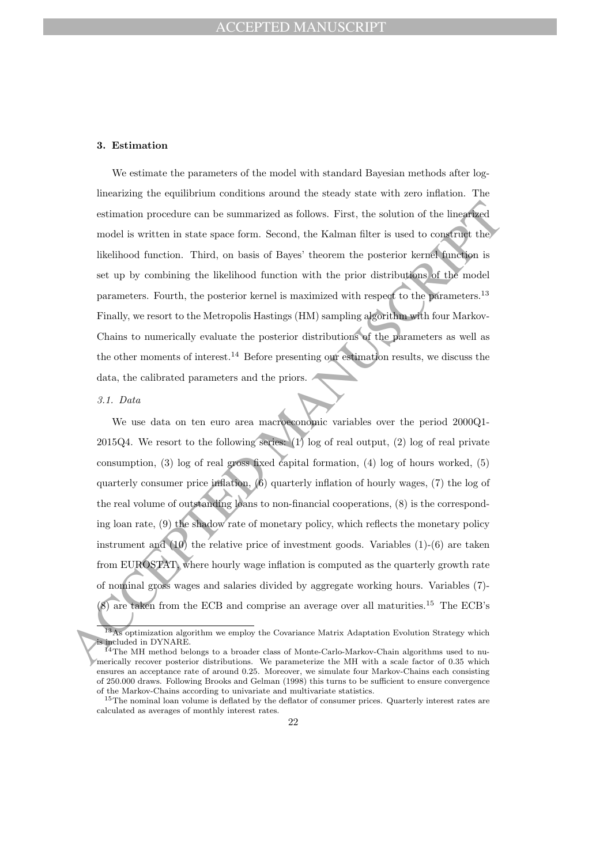#### 3. Estimation

We estimate the parameters of the model with standard Bayesian methods after loglinearizing the equilibrium conditions around the steady state with zero inflation. The estimation procedure can be summarized as follows. First, the solution of the linearized model is written in state space form. Second, the Kalman filter is used to construct the likelihood function. Third, on basis of Bayes' theorem the posterior kernel function is set up by combining the likelihood function with the prior distributions of the model parameters. Fourth, the posterior kernel is maximized with respect to the parameters.<sup>13</sup> Finally, we resort to the Metropolis Hastings (HM) sampling algorithm with four Markov-Chains to numerically evaluate the posterior distributions of the parameters as well as the other moments of interest.<sup>14</sup> Before presenting our estimation results, we discuss the data, the calibrated parameters and the priors.

### 3.1. Data

estimation procedure on be summarized as follows. First, the solution of the linear<br>final model is written in state space form. Second, the Kulman filter is used to construe the<br>Misclihood function. Third, on basis of Bay We use data on ten euro area macroeconomic variables over the period 2000Q1- 2015Q4. We resort to the following series: (1) log of real output, (2) log of real private consumption, (3) log of real gross fixed capital formation, (4) log of hours worked, (5) quarterly consumer price inflation,  $(6)$  quarterly inflation of hourly wages,  $(7)$  the log of the real volume of outstanding loans to non-financial cooperations, (8) is the corresponding loan rate, (9) the shadow rate of monetary policy, which reflects the monetary policy instrument and (10) the relative price of investment goods. Variables (1)-(6) are taken from EUROSTAT, where hourly wage inflation is computed as the quarterly growth rate of nominal gross wages and salaries divided by aggregate working hours. Variables (7)- (8) are taken from the ECB and comprise an average over all maturities.<sup>15</sup> The ECB's

<sup>13</sup>As optimization algorithm we employ the Covariance Matrix Adaptation Evolution Strategy which included in DYNARE.

 $14$ The MH method belongs to a broader class of Monte-Carlo-Markov-Chain algorithms used to numerically recover posterior distributions. We parameterize the MH with a scale factor of 0.35 which ensures an acceptance rate of around 0.25. Moreover, we simulate four Markov-Chains each consisting of 250.000 draws. Following Brooks and Gelman (1998) this turns to be sufficient to ensure convergence of the Markov-Chains according to univariate and multivariate statistics.

<sup>&</sup>lt;sup>15</sup>The nominal loan volume is deflated by the deflator of consumer prices. Quarterly interest rates are calculated as averages of monthly interest rates.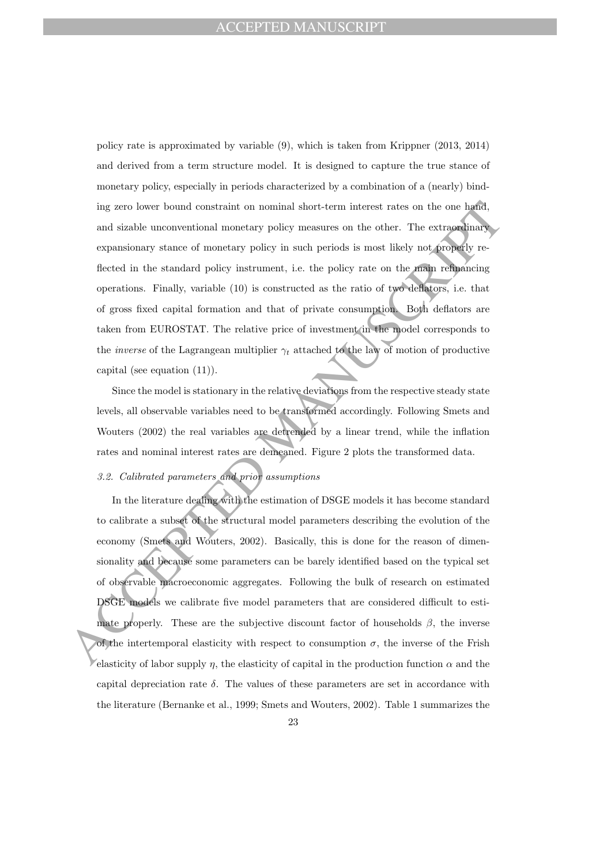ing zero lower bound constraint on nominal short-term interest rates on the one hands<br>and sizable unconventional monetary policy measures on the other. The extraordinary<br>expansionary state on the attached in the standard policy rate is approximated by variable (9), which is taken from Krippner (2013, 2014) and derived from a term structure model. It is designed to capture the true stance of monetary policy, especially in periods characterized by a combination of a (nearly) binding zero lower bound constraint on nominal short-term interest rates on the one hand, and sizable unconventional monetary policy measures on the other. The extraordinary expansionary stance of monetary policy in such periods is most likely not properly reflected in the standard policy instrument, i.e. the policy rate on the main refinancing operations. Finally, variable (10) is constructed as the ratio of two deflators, i.e. that of gross fixed capital formation and that of private consumption. Both deflators are taken from EUROSTAT. The relative price of investment in the model corresponds to the *inverse* of the Lagrangean multiplier  $\gamma_t$  attached to the law of motion of productive capital (see equation (11)).

Since the model is stationary in the relative deviations from the respective steady state levels, all observable variables need to be transformed accordingly. Following Smets and Wouters (2002) the real variables are detrended by a linear trend, while the inflation rates and nominal interest rates are demeaned. Figure 2 plots the transformed data.

# 3.2. Calibrated parameters and prior assumptions

In the literature dealing with the estimation of DSGE models it has become standard to calibrate a subset of the structural model parameters describing the evolution of the economy (Smets and Wouters, 2002). Basically, this is done for the reason of dimensionality and because some parameters can be barely identified based on the typical set of observable macroeconomic aggregates. Following the bulk of research on estimated DSGE models we calibrate five model parameters that are considered difficult to estimate properly. These are the subjective discount factor of households  $\beta$ , the inverse of the intertemporal elasticity with respect to consumption  $\sigma$ , the inverse of the Frish elasticity of labor supply  $\eta$ , the elasticity of capital in the production function  $\alpha$  and the capital depreciation rate  $\delta$ . The values of these parameters are set in accordance with the literature (Bernanke et al., 1999; Smets and Wouters, 2002). Table 1 summarizes the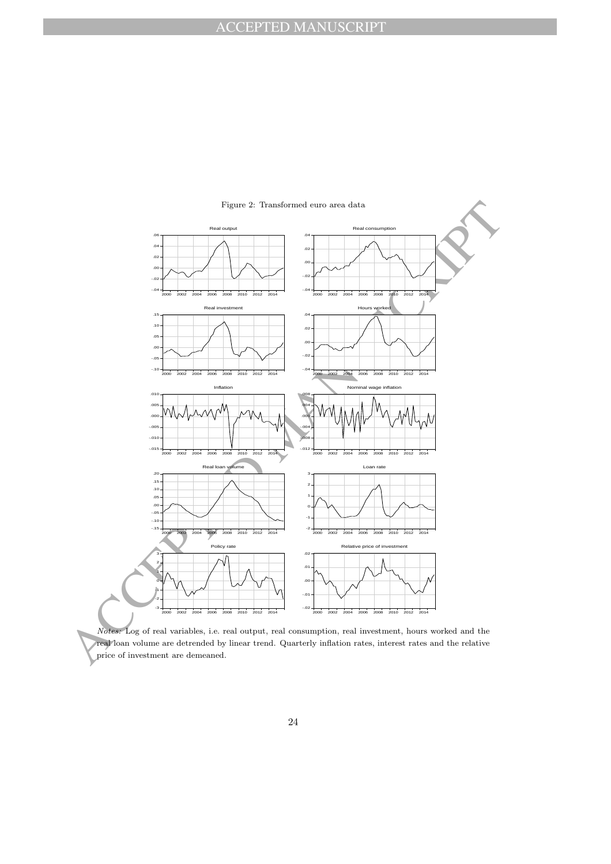

Notes: Log of real variables, i.e. real output, real consumption, real investment, hours worked and the real loan volume are detrended by linear trend. Quarterly inflation rates, interest rates and the relative price of investment are demeaned.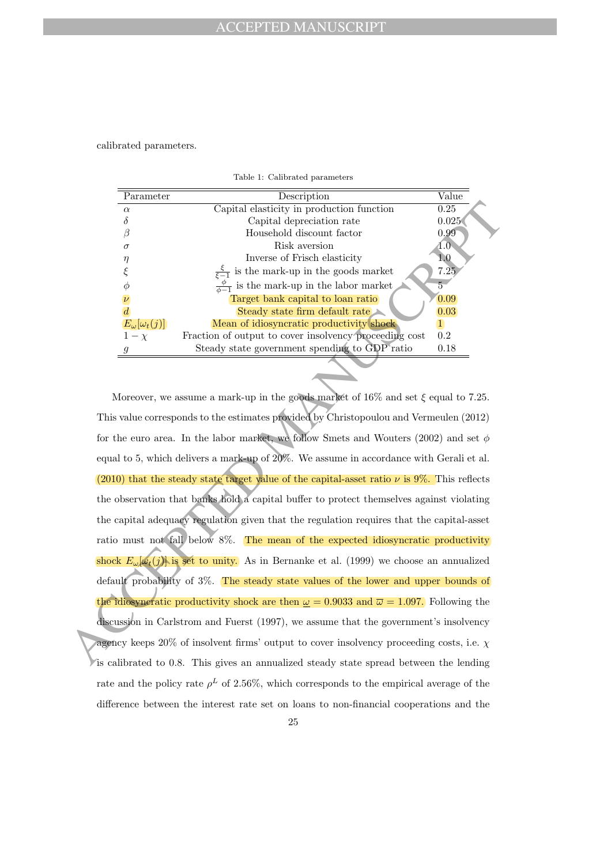calibrated parameters.

| Parameter                 | Description                                                 | Value         |
|---------------------------|-------------------------------------------------------------|---------------|
| $\alpha$                  | Capital elasticity in production function                   | 0.25          |
|                           | Capital depreciation rate                                   | 0.025         |
|                           | Household discount factor                                   | 0.99          |
| $\sigma$                  | Risk aversion                                               | $4.0^{\circ}$ |
| η                         | Inverse of Frisch elasticity                                | $1.0\,$       |
|                           | is the mark-up in the goods market<br>$rac{\xi}{\xi-1}$     | 7.25          |
|                           | $\frac{\varphi}{\phi-1}$ is the mark-up in the labor market |               |
|                           | Target bank capital to loan ratio                           | 0.09          |
|                           | Steady state firm default rate                              | 0.03          |
| $E_{\omega}[\omega_t(j)]$ | Mean of idiosyncratic productivity shock                    |               |
| $1-\chi$                  | Fraction of output to cover insolvency proceeding cost      | 0.2           |
| q                         | Steady state government spending to GDP ratio               | 0.18          |
|                           |                                                             |               |

Table 1: Calibrated parameters

A Capital desirativity in production function<br>
A Capital depreciation rate. 0.925<br>
A Capital depreciation rate. 0.925<br>
A Capital depreciation rate.<br>
A Capital depreciation factor<br>
A Capital depreciation factor<br>
A Capital Moreover, we assume a mark-up in the goods market of  $16\%$  and set  $\xi$  equal to 7.25. This value corresponds to the estimates provided by Christopoulou and Vermeulen (2012) for the euro area. In the labor market, we follow Smets and Wouters (2002) and set  $\phi$ equal to 5, which delivers a mark-up of 20%. We assume in accordance with Gerali et al. (2010) that the steady state target value of the capital-asset ratio  $\nu$  is 9%. This reflects the observation that banks hold a capital buffer to protect themselves against violating the capital adequacy regulation given that the regulation requires that the capital-asset ratio must not fall below 8%. The mean of the expected idiosyncratic productivity shock  $E_{\omega}[\omega_t(j)]$  is set to unity. As in Bernanke et al. (1999) we choose an annualized default probability of 3%. The steady state values of the lower and upper bounds of the idiosyncratic productivity shock are then  $\omega = 0.9033$  and  $\overline{\omega} = 1.097$ . Following the discussion in Carlstrom and Fuerst (1997), we assume that the government's insolvency agency keeps 20% of insolvent firms' output to cover insolvency proceeding costs, i.e.  $\chi$ is calibrated to 0.8. This gives an annualized steady state spread between the lending rate and the policy rate  $\rho^L$  of 2.56%, which corresponds to the empirical average of the difference between the interest rate set on loans to non-financial cooperations and the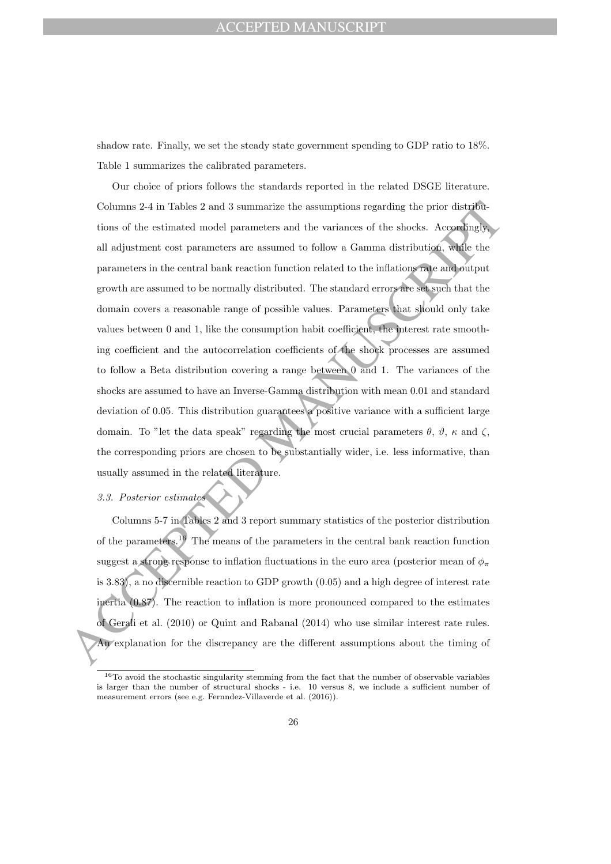## EPTED MANUSCRIPT

shadow rate. Finally, we set the steady state government spending to GDP ratio to 18%. Table 1 summarizes the calibrated parameters.

Columns 2-4 in Tables 2 and 3 summarize the assumptions regarding the prior distributions of the estimated model parameters and the variances of the shocks. Accordinately all adjustment cost parameters are assumed to belo Our choice of priors follows the standards reported in the related DSGE literature. Columns 2-4 in Tables 2 and 3 summarize the assumptions regarding the prior distributions of the estimated model parameters and the variances of the shocks. Accordingly, all adjustment cost parameters are assumed to follow a Gamma distribution, while the parameters in the central bank reaction function related to the inflations rate and output growth are assumed to be normally distributed. The standard errors are set such that the domain covers a reasonable range of possible values. Parameters that should only take values between 0 and 1, like the consumption habit coefficient, the interest rate smoothing coefficient and the autocorrelation coefficients of the shock processes are assumed to follow a Beta distribution covering a range between 0 and 1. The variances of the shocks are assumed to have an Inverse-Gamma distribution with mean 0.01 and standard deviation of 0.05. This distribution guarantees a positive variance with a sufficient large domain. To "let the data speak" regarding the most crucial parameters  $\theta$ ,  $\vartheta$ ,  $\kappa$  and  $\zeta$ , the corresponding priors are chosen to be substantially wider, i.e. less informative, than usually assumed in the related literature.

# 3.3. Posterior estimates

Columns 5-7 in Tables 2 and 3 report summary statistics of the posterior distribution of the parameters.<sup>16</sup> The means of the parameters in the central bank reaction function suggest a strong response to inflation fluctuations in the euro area (posterior mean of  $\phi_{\pi}$ is 3.83), a no discernible reaction to GDP growth (0.05) and a high degree of interest rate inertia (0.87). The reaction to inflation is more pronounced compared to the estimates of Gerali et al. (2010) or Quint and Rabanal (2014) who use similar interest rate rules. An explanation for the discrepancy are the different assumptions about the timing of

<sup>&</sup>lt;sup>16</sup>To avoid the stochastic singularity stemming from the fact that the number of observable variables is larger than the number of structural shocks - i.e. 10 versus 8, we include a sufficient number of measurement errors (see e.g. Fernndez-Villaverde et al. (2016)).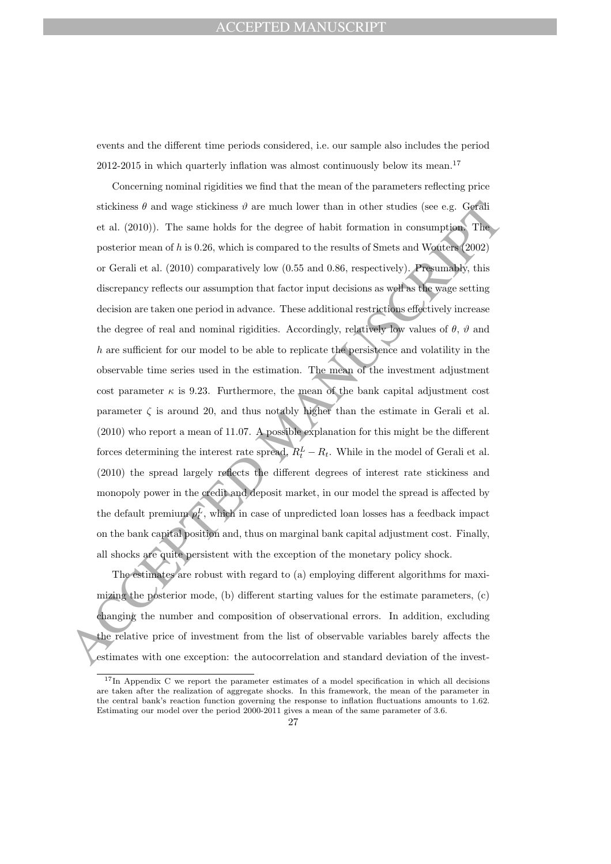### CEPTED MANUSCRIPT

events and the different time periods considered, i.e. our sample also includes the period 2012-2015 in which quarterly inflation was almost continuously below its mean.<sup>17</sup>

stickiness  $\theta$  and wage stickiness  $\theta$  are much lower than in other studies (see e.g. Gorflit et at (2010)). The same holds for the degree of habit formation in consumption Theorem mean failed is compared to the results Concerning nominal rigidities we find that the mean of the parameters reflecting price stickiness  $\theta$  and wage stickiness  $\vartheta$  are much lower than in other studies (see e.g. Gerali et al. (2010)). The same holds for the degree of habit formation in consumption. The posterior mean of h is 0.26, which is compared to the results of Smets and Wouters (2002) or Gerali et al. (2010) comparatively low (0.55 and 0.86, respectively). Presumably, this discrepancy reflects our assumption that factor input decisions as well as the wage setting decision are taken one period in advance. These additional restrictions effectively increase the degree of real and nominal rigidities. Accordingly, relatively low values of  $\theta$ ,  $\vartheta$  and h are sufficient for our model to be able to replicate the persistence and volatility in the observable time series used in the estimation. The mean of the investment adjustment cost parameter  $\kappa$  is 9.23. Furthermore, the mean of the bank capital adjustment cost parameter  $\zeta$  is around 20, and thus notably higher than the estimate in Gerali et al. (2010) who report a mean of 11.07. A possible explanation for this might be the different forces determining the interest rate spread,  $R_t^L - R_t$ . While in the model of Gerali et al. (2010) the spread largely reflects the different degrees of interest rate stickiness and monopoly power in the credit and deposit market, in our model the spread is affected by the default premium  $\rho_t^L$ , which in case of unpredicted loan losses has a feedback impact on the bank capital position and, thus on marginal bank capital adjustment cost. Finally, all shocks are quite persistent with the exception of the monetary policy shock.

The estimates are robust with regard to (a) employing different algorithms for maximizing the posterior mode, (b) different starting values for the estimate parameters, (c) changing the number and composition of observational errors. In addition, excluding the relative price of investment from the list of observable variables barely affects the estimates with one exception: the autocorrelation and standard deviation of the invest-

<sup>&</sup>lt;sup>17</sup>In Appendix C we report the parameter estimates of a model specification in which all decisions are taken after the realization of aggregate shocks. In this framework, the mean of the parameter in the central bank's reaction function governing the response to inflation fluctuations amounts to 1.62. Estimating our model over the period 2000-2011 gives a mean of the same parameter of 3.6.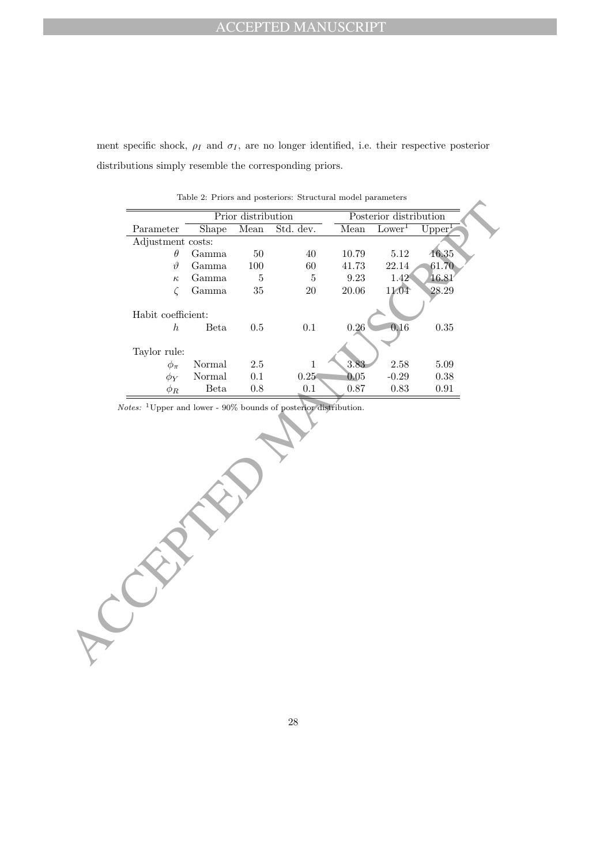ment specific shock,  $\rho_I$  and  $\sigma_I$ , are no longer identified, i.e. their respective posterior distributions simply resemble the corresponding priors.

|                    |        | Prior distribution |           |       | Posterior distribution |           |
|--------------------|--------|--------------------|-----------|-------|------------------------|-----------|
| Parameter          | Shape  | Mean               | Std. dev. | Mean  | Lower <sup>1</sup>     | $Upper^1$ |
| Adjustment costs:  |        |                    |           |       |                        |           |
| $\theta$           | Gamma  | 50                 | 40        | 10.79 | 5.12                   | 16.35     |
| $\vartheta$        | Gamma  | 100                | 60        | 41.73 | 22.14                  | 61.70     |
| $\kappa$           | Gamma  | 5                  | 5         | 9.23  | 1.42                   | 16.81     |
|                    | Gamma  | 35                 | 20        | 20.06 | 11.04                  | 28.29     |
|                    |        |                    |           |       |                        |           |
| Habit coefficient: |        |                    |           |       |                        |           |
| h.                 | Beta   | 0.5                | 0.1       | 0.26  | 0.16                   | 0.35      |
|                    |        |                    |           |       |                        |           |
| Taylor rule:       |        |                    |           |       |                        |           |
| $\phi_\pi$         | Normal | 2.5                |           | 3.83  | 2.58                   | 5.09      |
| $\phi_Y$           | Normal | 0.1                | 0.25      | 0.05  | $-0.29$                | 0.38      |
| $\phi_R$           | Beta   | 0.8                | 0.1       | 0.87  | 0.83                   | 0.91      |

Table 2: Priors and posteriors: Structural model parameters

ACCEPTED MANUSCRIPT Notes: <sup>1</sup>Upper and lower - 90% bounds of posterior distribution.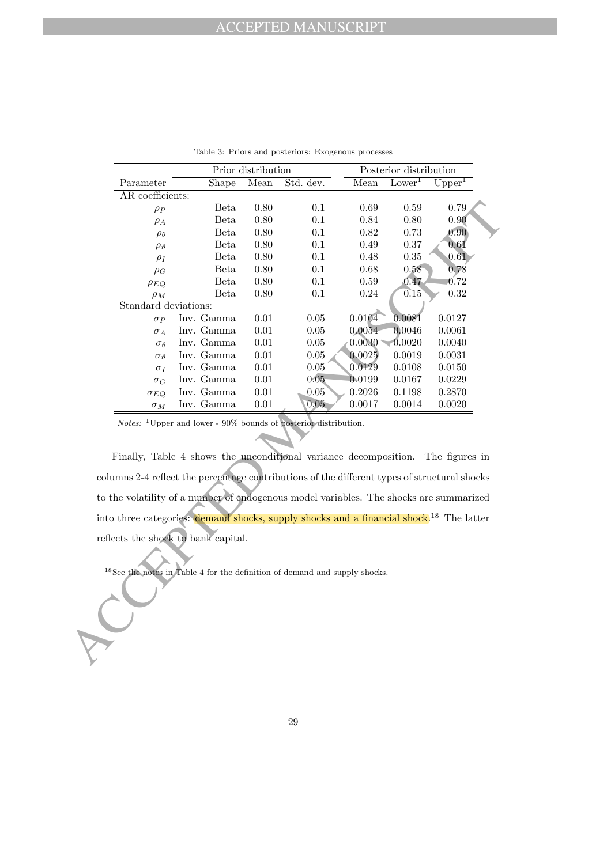|                                                                                                                                                                                        |                                                                                 | Prior distribution |           |        | Posterior distribution |                    |
|----------------------------------------------------------------------------------------------------------------------------------------------------------------------------------------|---------------------------------------------------------------------------------|--------------------|-----------|--------|------------------------|--------------------|
| Parameter                                                                                                                                                                              | Shape                                                                           | Mean               | Std. dev. | Mean   | Lower <sup>1</sup>     | $\mathrm{Upper}^1$ |
| AR coefficients:                                                                                                                                                                       |                                                                                 |                    |           |        |                        |                    |
| $\rho_P$                                                                                                                                                                               | Beta                                                                            | 0.80               | 0.1       | 0.69   | 0.59                   | 0.79               |
| $\rho_A$                                                                                                                                                                               | Beta                                                                            | $0.80\,$           | 0.1       | 0.84   | $0.80\,$               | 0.90               |
| $\rho_\theta$                                                                                                                                                                          | <b>Beta</b>                                                                     | 0.80               | 0.1       | 0.82   | 0.73                   | 0.90               |
| $\rho_{\vartheta}$                                                                                                                                                                     | Beta                                                                            | 0.80               | 0.1       | 0.49   | 0.37                   | 0.61               |
| $\rho_I$                                                                                                                                                                               | Beta                                                                            | 0.80               | $0.1\,$   | 0.48   | 0.35                   | 0.61               |
| $\rho_G$                                                                                                                                                                               | Beta                                                                            | $0.80\,$           | 0.1       | 0.68   | 0.58                   | 0.78               |
| $\rho_{EQ}$                                                                                                                                                                            | Beta                                                                            | $0.80\,$           | 0.1       | 0.59   | 0.47                   | 0.72               |
| $\rho_M$                                                                                                                                                                               | Beta                                                                            | 0.80               | 0.1       | 0.24   | 0.15                   | 0.32               |
| Standard deviations:                                                                                                                                                                   |                                                                                 |                    |           |        |                        |                    |
| $\sigma_{P}$                                                                                                                                                                           | Inv. Gamma                                                                      | 0.01               | 0.05      | 0.0104 | 0.0081                 | 0.0127             |
| $\sigma_A$                                                                                                                                                                             | Inv. Gamma                                                                      | 0.01               | $0.05\,$  | 0.0054 | 0.0046                 | 0.0061             |
| $\sigma_{\theta}$                                                                                                                                                                      | Inv. Gamma                                                                      | 0.01               | $0.05\,$  | 0.0030 | 0.0020                 | 0.0040             |
| $\sigma_{\vartheta}$                                                                                                                                                                   | Inv. Gamma                                                                      | $0.01\,$           | $0.05\,$  | 0.0025 | 0.0019                 | 0.0031             |
| $\sigma_I$                                                                                                                                                                             | Inv. Gamma                                                                      | 0.01               | 0.05      | 0.0129 | 0.0108                 | 0.0150             |
| $\sigma_G$                                                                                                                                                                             | Inv. Gamma                                                                      | $0.01\,$           | 0.05      | 0.0199 | 0.0167                 | 0.0229             |
| $\sigma_{EQ}$                                                                                                                                                                          | Inv. Gamma                                                                      | 0.01               | $0.05\,$  | 0.2026 | 0.1198                 | 0.2870             |
| $\sigma_M$                                                                                                                                                                             | Inv. Gamma                                                                      | 0.01               | 0.05      | 0.0017 | 0.0014                 | 0.0020             |
| columns 2-4 reflect the percentage contributions of the different types of structural shocks<br>to the volatility of a number of endogenous model variables. The shocks are summarized | Finally, Table 4 shows the unconditional variance decomposition. The figures in |                    |           |        |                        |                    |
| into three categories: demand shocks, supply shocks and a financial shock. <sup>18</sup> The latter                                                                                    |                                                                                 |                    |           |        |                        |                    |
| reflects the shock to bank capital.                                                                                                                                                    | $18$ See the notes in Table 4 for the definition of demand and supply shocks.   |                    |           |        |                        |                    |
|                                                                                                                                                                                        |                                                                                 |                    |           |        |                        |                    |
|                                                                                                                                                                                        |                                                                                 |                    |           |        |                        |                    |

Table 3: Priors and posteriors: Exogenous processes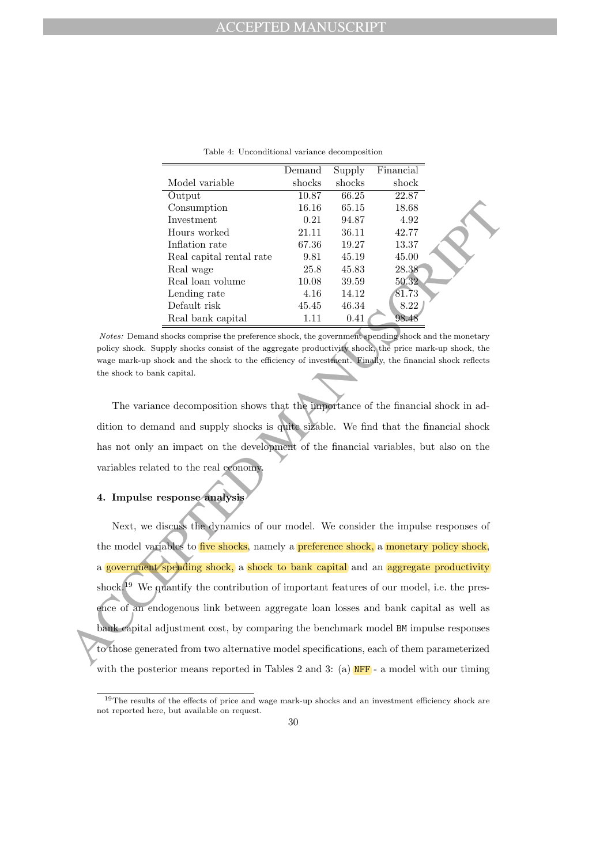|                          | Demand | Supply | Financial |  |
|--------------------------|--------|--------|-----------|--|
| Model variable           | shocks | shocks | shock     |  |
| Output                   | 10.87  | 66.25  | 22.87     |  |
| Consumption              | 16.16  | 65.15  | 18.68     |  |
| Investment               | 0.21   | 94.87  | 4.92      |  |
| Hours worked             | 21.11  | 36.11  | 42.77     |  |
| Inflation rate           | 67.36  | 19.27  | 13.37     |  |
| Real capital rental rate | 9.81   | 45.19  | 45.00     |  |
| Real wage                | 25.8   | 45.83  | 28.38     |  |
| Real loan volume         | 10.08  | 39.59  | 50.32     |  |
| Lending rate             | 4.16   | 14.12  | 81.73     |  |
| Default risk             | 45.45  | 46.34  | 8.22      |  |
| Real bank capital        | 1.11   | 0.41   | 98.4      |  |

Table 4: Unconditional variance decomposition

Notes: Demand shocks comprise the preference shock, the government spending shock and the monetary policy shock. Supply shocks consist of the aggregate productivity shock, the price mark-up shock, the wage mark-up shock and the shock to the efficiency of investment. Finally, the financial shock reflects the shock to bank capital.

The variance decomposition shows that the importance of the financial shock in addition to demand and supply shocks is quite sizable. We find that the financial shock has not only an impact on the development of the financial variables, but also on the variables related to the real economy.

### 4. Impulse response analysis

Consumerior and the fit is 65.15 and the matrix order of the matrix polaristic properties and the matrix of the matrix and the matrix and the matrix and the matrix can be a set of the state of the matrix of the matrix of Next, we discuss the dynamics of our model. We consider the impulse responses of the model variables to *five shocks*, namely a **preference shock**, a monetary policy shock, a government spending shock, a shock to bank capital and an aggregate productivity shock.<sup>19</sup> We quantify the contribution of important features of our model, i.e. the presence of an endogenous link between aggregate loan losses and bank capital as well as bank capital adjustment cost, by comparing the benchmark model BM impulse responses to those generated from two alternative model specifications, each of them parameterized with the posterior means reported in Tables 2 and 3: (a)  $NFF - a$  model with our timing

<sup>&</sup>lt;sup>19</sup>The results of the effects of price and wage mark-up shocks and an investment efficiency shock are not reported here, but available on request.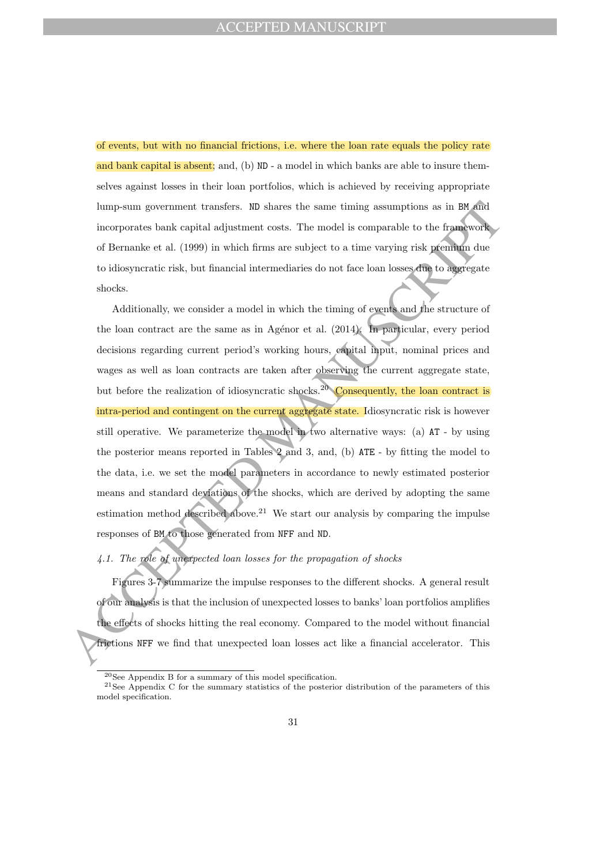of events, but with no financial frictions, i.e. where the loan rate equals the policy rate and bank capital is absent; and, (b) ND - a model in which banks are able to insure themselves against losses in their loan portfolios, which is achieved by receiving appropriate lump-sum government transfers. ND shares the same timing assumptions as in BM and incorporates bank capital adjustment costs. The model is comparable to the framework of Bernanke et al. (1999) in which firms are subject to a time varying risk premium due to idiosyncratic risk, but financial intermediaries do not face loan losses due to aggregate shocks.

lump-sum government transfers. 80 shares the same timing assumptions as in B6 and<br>incorporates bank capital adjustment costs. The model is comparable to the framework<br>of Bernards et al. (1999) in which firms are subject t Additionally, we consider a model in which the timing of events and the structure of the loan contract are the same as in Agénor et al.  $(2014)$ . In particular, every period decisions regarding current period's working hours, capital input, nominal prices and wages as well as loan contracts are taken after observing the current aggregate state, but before the realization of idiosyncratic shocks.<sup>20</sup> Consequently, the loan contract is intra-period and contingent on the current aggregate state. Idiosyncratic risk is however still operative. We parameterize the model in two alternative ways: (a)  $AT - by$  using the posterior means reported in Tables 2 and 3, and, (b) ATE - by fitting the model to the data, i.e. we set the model parameters in accordance to newly estimated posterior means and standard deviations of the shocks, which are derived by adopting the same estimation method described above.<sup>21</sup> We start our analysis by comparing the impulse responses of BM to those generated from NFF and ND.

# 4.1. The role of unexpected loan losses for the propagation of shocks

Figures 3-7 summarize the impulse responses to the different shocks. A general result of our analysis is that the inclusion of unexpected losses to banks' loan portfolios amplifies the effects of shocks hitting the real economy. Compared to the model without financial frictions NFF we find that unexpected loan losses act like a financial accelerator. This

<sup>20</sup>See Appendix B for a summary of this model specification.

<sup>&</sup>lt;sup>21</sup>See Appendix C for the summary statistics of the posterior distribution of the parameters of this model specification.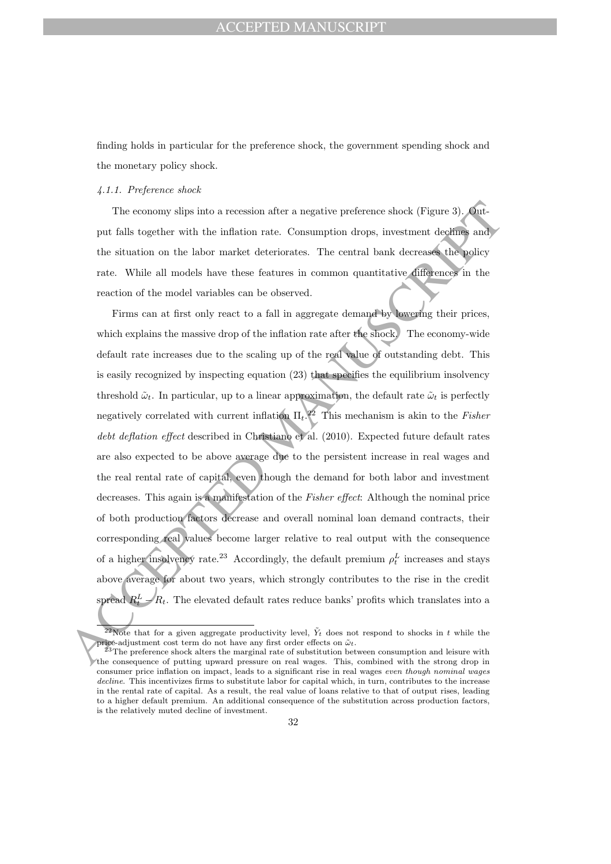# ACCEPTED MANUSCRIPT

finding holds in particular for the preference shock, the government spending shock and the monetary policy shock.

### 4.1.1. Preference shock

The economy slips into a recession after a negative preference shock (Figure 3). Output falls together with the inflation rate. Consumption drops, investment declines and the situation on the labor market deteriorates. The central bank decreases the policy rate. While all models have these features in common quantitative differences in the reaction of the model variables can be observed.

The comony slips into a recession after a negative preference shock (Figure 3). Guarn this together with the inflation rate. Consumption drops, investment declines and<br>the situation on the labor market determines in commo Firms can at first only react to a fall in aggregate demand by lowering their prices, which explains the massive drop of the inflation rate after the shock. The economy-wide default rate increases due to the scaling up of the real value of outstanding debt. This is easily recognized by inspecting equation (23) that specifies the equilibrium insolvency threshold  $\tilde{\omega}_t$ . In particular, up to a linear approximation, the default rate  $\tilde{\omega}_t$  is perfectly negatively correlated with current inflation  $\Pi_t$ <sup>22</sup> This mechanism is akin to the Fisher debt deflation effect described in Christiano et al. (2010). Expected future default rates are also expected to be above average due to the persistent increase in real wages and the real rental rate of capital, even though the demand for both labor and investment decreases. This again is a manifestation of the *Fisher effect*: Although the nominal price of both production factors decrease and overall nominal loan demand contracts, their corresponding real values become larger relative to real output with the consequence of a higher insolvency rate.<sup>23</sup> Accordingly, the default premium  $\rho_t^L$  increases and stays above average for about two years, which strongly contributes to the rise in the credit spread  $R<sub>1</sub>$  $t R_t$ . The elevated default rates reduce banks' profits which translates into a

<sup>&</sup>lt;sup>22</sup>Note that for a given aggregate productivity level,  $\tilde{Y}_t$  does not respond to shocks in t while the price-adjustment cost term do not have any first order effects on  $\tilde{\omega}_t$ .

 $^{23}$ The preference shock alters the marginal rate of substitution between consumption and leisure with the consequence of putting upward pressure on real wages. This, combined with the strong drop in consumer price inflation on impact, leads to a significant rise in real wages even though nominal wages decline. This incentivizes firms to substitute labor for capital which, in turn, contributes to the increase in the rental rate of capital. As a result, the real value of loans relative to that of output rises, leading to a higher default premium. An additional consequence of the substitution across production factors, is the relatively muted decline of investment.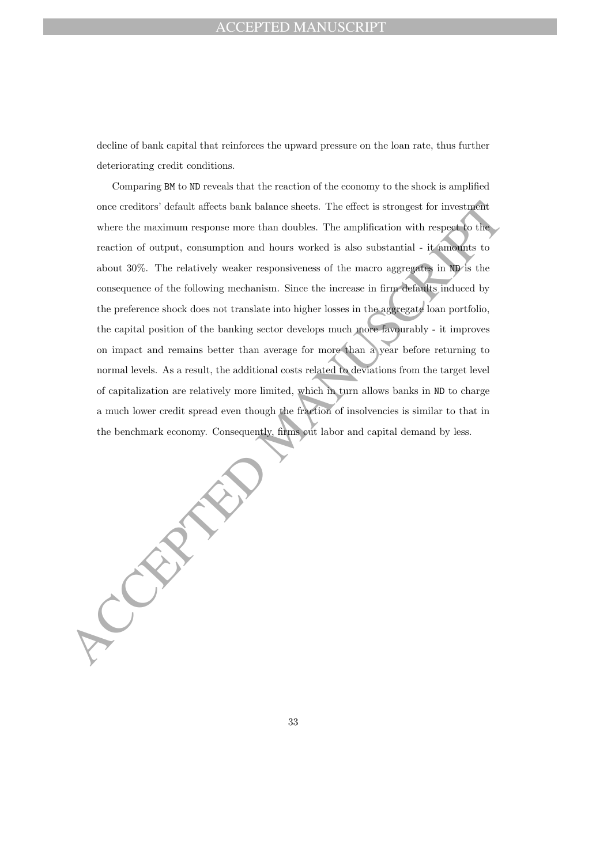# **CEPTED MANUSCRIPT**

decline of bank capital that reinforces the upward pressure on the loan rate, thus further deteriorating credit conditions.

once creditors' default affects bank balance sheets. The effect is strongest for investigative where the maximum response more than doubles. The amplification with respect to the restriction of original, consistent and bu Comparing BM to ND reveals that the reaction of the economy to the shock is amplified once creditors' default affects bank balance sheets. The effect is strongest for investment where the maximum response more than doubles. The amplification with respect to the reaction of output, consumption and hours worked is also substantial - it amounts to about 30%. The relatively weaker responsiveness of the macro aggregates in ND is the consequence of the following mechanism. Since the increase in firm defaults induced by the preference shock does not translate into higher losses in the aggregate loan portfolio, the capital position of the banking sector develops much more favourably - it improves on impact and remains better than average for more than a year before returning to normal levels. As a result, the additional costs related to deviations from the target level of capitalization are relatively more limited, which in turn allows banks in ND to charge a much lower credit spread even though the fraction of insolvencies is similar to that in the benchmark economy. Consequently, firms cut labor and capital demand by less.

33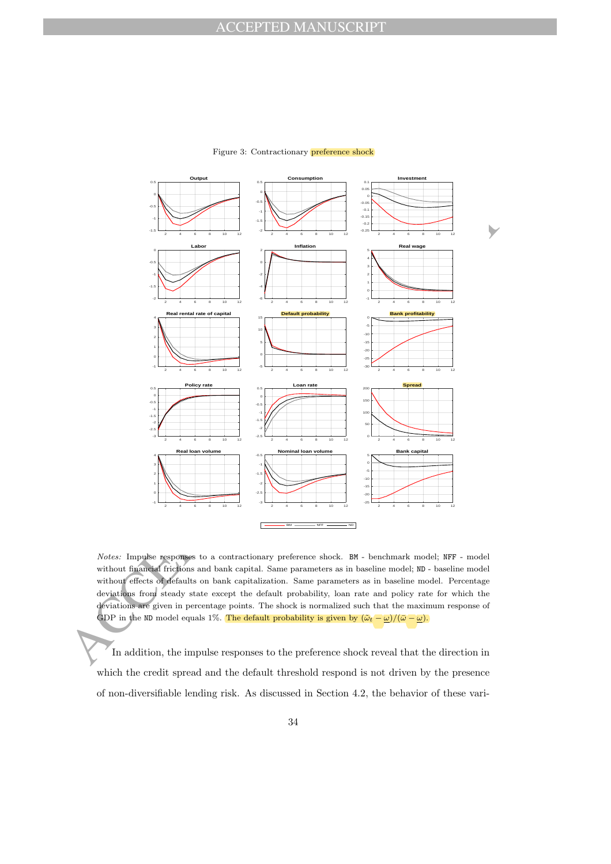

### Figure 3: Contractionary preference shock

Notes: Impulse responses to a contractionary preference shock. BM - benchmark model; NFF - model without financial frictions and bank capital. Same parameters as in baseline model; ND - baseline model without effects of defaults on bank capitalization. Same parameters as in baseline model. Percentage deviations from steady state except the default probability, loan rate and policy rate for which the deviations are given in percentage points. The shock is normalized such that the maximum response of GDP in the ND model equals 1%. The default probability is given by  $(\tilde{\omega}_t - \underline{\omega})/(\bar{\omega} - \underline{\omega})$ .

In addition, the impulse responses to the preference shock reveal that the direction in which the credit spread and the default threshold respond is not driven by the presence of non-diversifiable lending risk. As discussed in Section 4.2, the behavior of these vari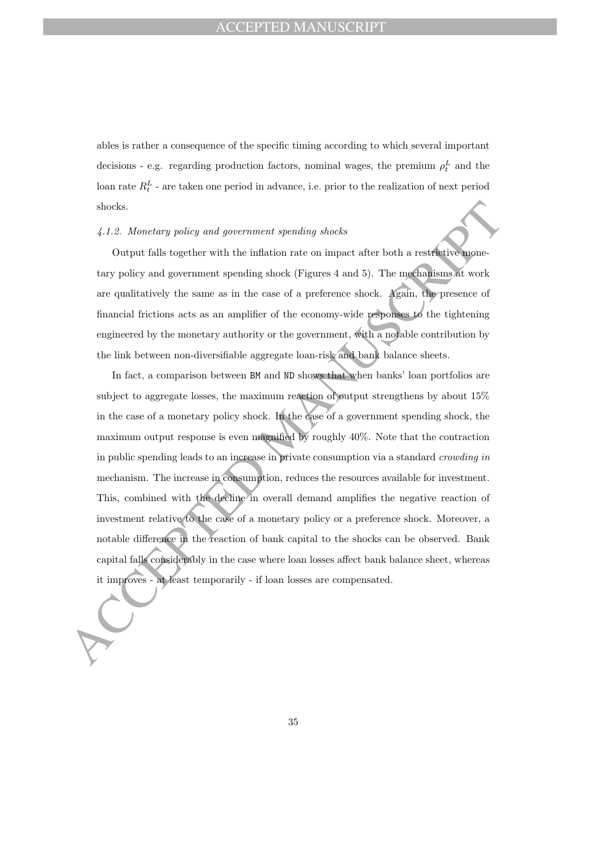ables is rather a consequence of the specific timing according to which several important decisions - e.g. regarding production factors, nominal wages, the premium  $\rho_t^L$  and the loan rate  $R_t^L$  - are taken one period in advance, i.e. prior to the realization of next period shocks.

### 4.1.2. Monetary policy and government spending shocks

Output falls together with the inflation rate on impact after both a restrictive monetary policy and government spending shock (Figures 4 and 5). The mechanisms at work are qualitatively the same as in the case of a preference shock. Again, the presence of financial frictions acts as an amplifier of the economy-wide responses to the tightening engineered by the monetary authority or the government, with a notable contribution by the link between non-diversifiable aggregate loan-risk and bank balance sheets.

shocks.<br>
4.1.2. Monetary policy and government spending shocks<br>
Couput falls together with the inhibiton rate on impact after both a restrictive upper-<br>
tary policy and government spending shock (Figures 4 and 5). The mag In fact, a comparison between BM and ND shows that when banks' loan portfolios are subject to aggregate losses, the maximum reaction of output strengthens by about 15% in the case of a monetary policy shock. In the case of a government spending shock, the maximum output response is even magnified by roughly 40%. Note that the contraction in public spending leads to an increase in private consumption via a standard crowding in mechanism. The increase in consumption, reduces the resources available for investment. This, combined with the decline in overall demand amplifies the negative reaction of investment relative to the case of a monetary policy or a preference shock. Moreover, a notable difference in the reaction of bank capital to the shocks can be observed. Bank capital falls considerably in the case where loan losses affect bank balance sheet, whereas it improves - at least temporarily - if loan losses are compensated.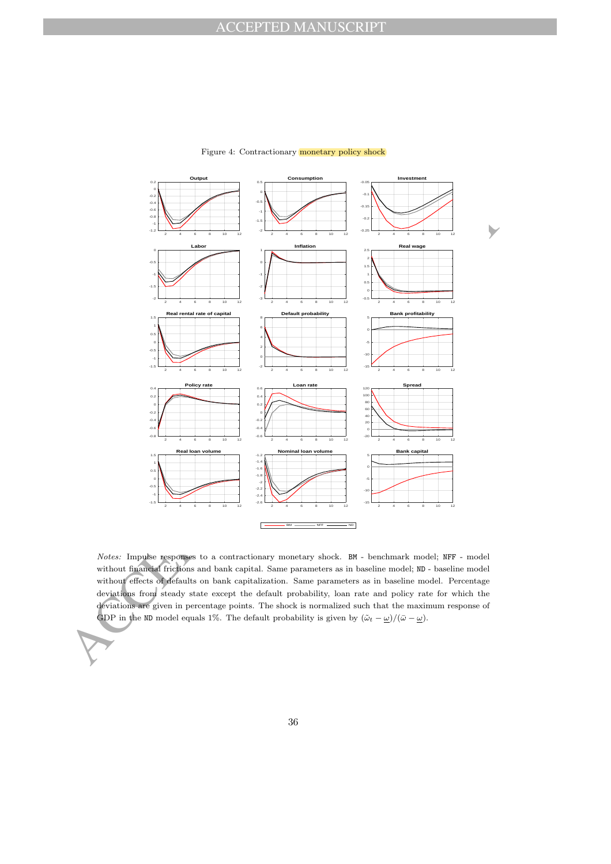

### Figure 4: Contractionary monetary policy shock

Notes: Impulse responses to a contractionary monetary shock. BM - benchmark model; NFF - model without financial frictions and bank capital. Same parameters as in baseline model; ND - baseline model without effects of defaults on bank capitalization. Same parameters as in baseline model. Percentage deviations from steady state except the default probability, loan rate and policy rate for which the deviations are given in percentage points. The shock is normalized such that the maximum response of GDP in the ND model equals 1%. The default probability is given by  $(\tilde{\omega}_t - \underline{\omega})/(\bar{\omega} - \underline{\omega})$ .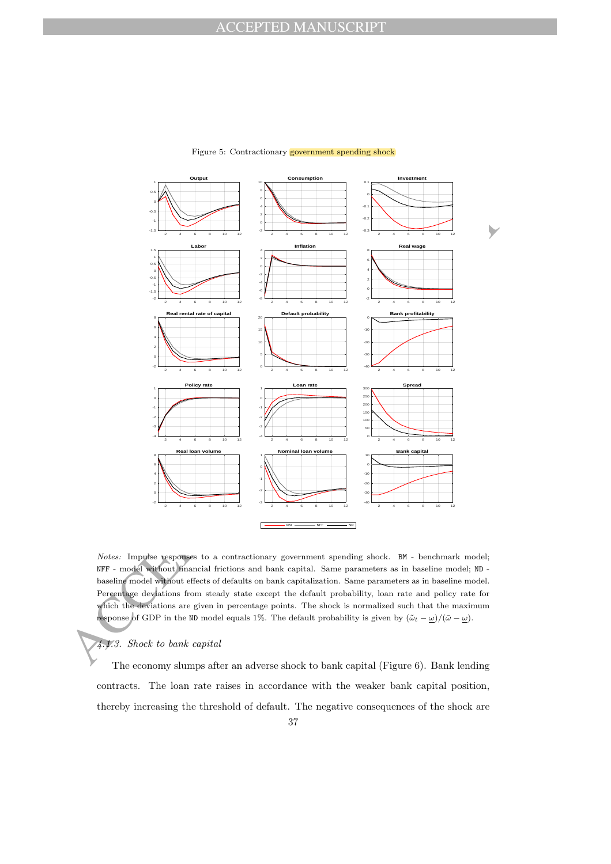

### Figure 5: Contractionary government spending shock

Notes: Impulse responses to a contractionary government spending shock. BM - benchmark model; NFF - model without financial frictions and bank capital. Same parameters as in baseline model; ND baseline model without effects of defaults on bank capitalization. Same parameters as in baseline model. Percentage deviations from steady state except the default probability, loan rate and policy rate for which the deviations are given in percentage points. The shock is normalized such that the maximum response of GDP in the ND model equals 1%. The default probability is given by  $(\tilde{\omega}_t - \underline{\omega})/(\bar{\omega} - \underline{\omega})$ .

### 4.1.3. Shock to bank capital

The economy slumps after an adverse shock to bank capital (Figure 6). Bank lending contracts. The loan rate raises in accordance with the weaker bank capital position, thereby increasing the threshold of default. The negative consequences of the shock are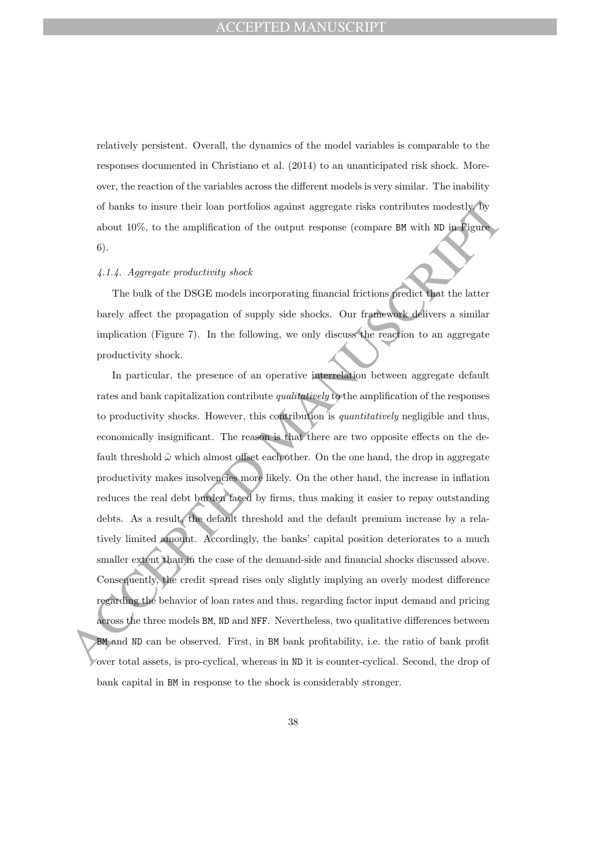relatively persistent. Overall, the dynamics of the model variables is comparable to the responses documented in Christiano et al. (2014) to an unanticipated risk shock. Moreover, the reaction of the variables across the different models is very similar. The inability of banks to insure their loan portfolios against aggregate risks contributes modestly, by about 10%, to the amplification of the output response (compare BM with ND in Figure 6).

# 4.1.4. Aggregate productivity shock

The bulk of the DSGE models incorporating financial frictions predict that the latter barely affect the propagation of supply side shocks. Our framework delivers a similar implication (Figure 7). In the following, we only discuss the reaction to an aggregate productivity shock.

of banks to insure their ionn portfolios against aggregate risks contributes modestly for about 10%, to the amplification of the output response (compare BK with RD in Figure 6).<br>
4.1.4. Agorogate productivity shock<br>
The In particular, the presence of an operative interrelation between aggregate default rates and bank capitalization contribute qualitatively to the amplification of the responses to productivity shocks. However, this contribution is *quantitatively* negligible and thus, economically insignificant. The reason is that there are two opposite effects on the default threshold  $\tilde{\omega}$  which almost offset each other. On the one hand, the drop in aggregate productivity makes insolvencies more likely. On the other hand, the increase in inflation reduces the real debt burden faced by firms, thus making it easier to repay outstanding debts. As a result, the default threshold and the default premium increase by a relatively limited amount. Accordingly, the banks' capital position deteriorates to a much smaller extent than in the case of the demand-side and financial shocks discussed above. Consequently, the credit spread rises only slightly implying an overly modest difference regarding the behavior of loan rates and thus, regarding factor input demand and pricing across the three models BM, ND and NFF. Nevertheless, two qualitative differences between BM and ND can be observed. First, in BM bank profitability, i.e. the ratio of bank profit over total assets, is pro-cyclical, whereas in ND it is counter-cyclical. Second, the drop of bank capital in BM in response to the shock is considerably stronger.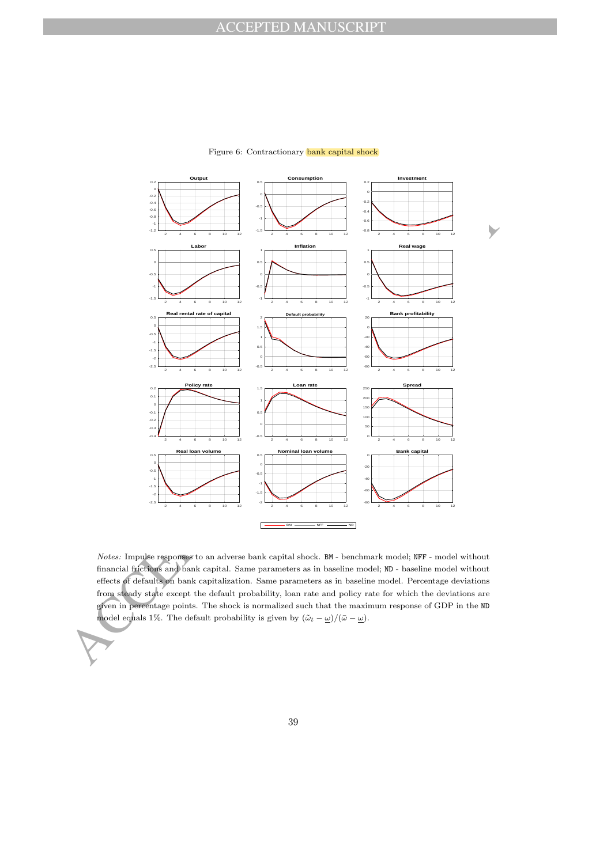

### Figure 6: Contractionary bank capital shock

Notes: Impulse responses to an adverse bank capital shock. BM - benchmark model; NFF - model without financial frictions and bank capital. Same parameters as in baseline model; ND - baseline model without effects of defaults on bank capitalization. Same parameters as in baseline model. Percentage deviations from steady state except the default probability, loan rate and policy rate for which the deviations are given in percentage points. The shock is normalized such that the maximum response of GDP in the ND model equals 1%. The default probability is given by  $(\tilde{\omega}_t - \underline{\omega})/(\bar{\omega} - \underline{\omega})$ .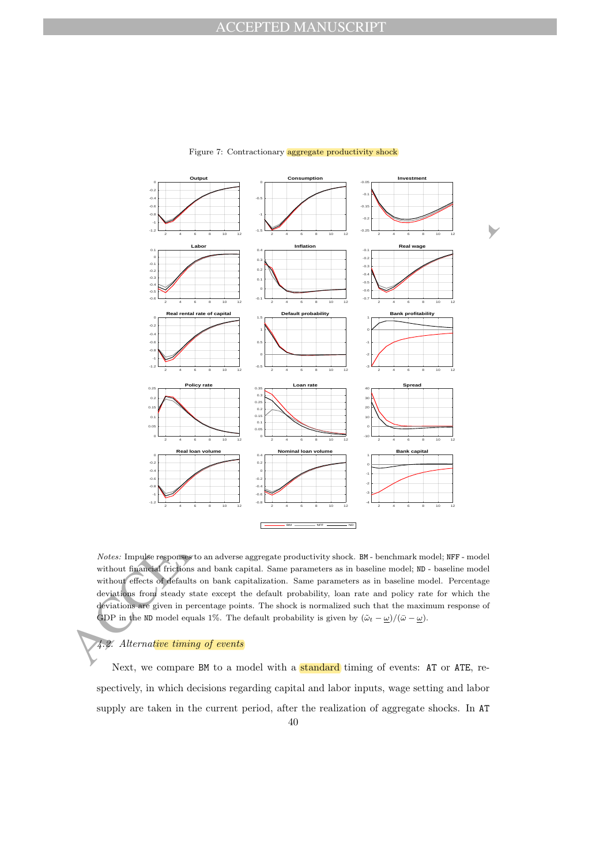

### Figure 7: Contractionary aggregate productivity shock

Notes: Impulse responses to an adverse aggregate productivity shock. BM - benchmark model; NFF - model without financial frictions and bank capital. Same parameters as in baseline model; ND - baseline model without effects of defaults on bank capitalization. Same parameters as in baseline model. Percentage deviations from steady state except the default probability, loan rate and policy rate for which the deviations are given in percentage points. The shock is normalized such that the maximum response of GDP in the ND model equals 1%. The default probability is given by  $(\tilde{\omega}_t - \underline{\omega})/(\bar{\omega} - \underline{\omega})$ .

### 4.2. Alternative timing of events

Next, we compare BM to a model with a standard timing of events: AT or ATE, respectively, in which decisions regarding capital and labor inputs, wage setting and labor supply are taken in the current period, after the realization of aggregate shocks. In AT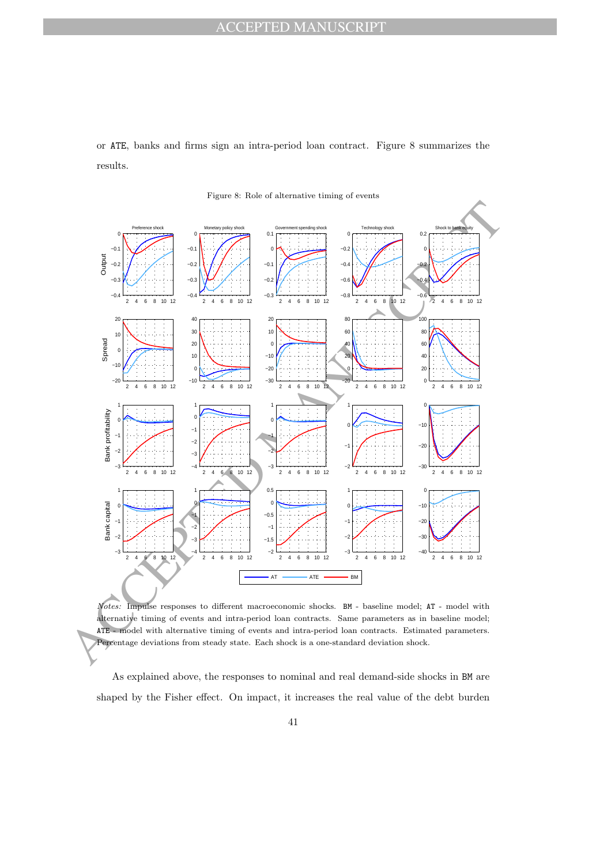or ATE, banks and firms sign an intra-period loan contract. Figure 8 summarizes the results.





Notes: Impulse responses to different macroeconomic shocks. BM - baseline model; AT - model with alternative timing of events and intra-period loan contracts. Same parameters as in baseline model; ATE - model with alternative timing of events and intra-period loan contracts. Estimated parameters. Percentage deviations from steady state. Each shock is a one-standard deviation shock.

As explained above, the responses to nominal and real demand-side shocks in BM are shaped by the Fisher effect. On impact, it increases the real value of the debt burden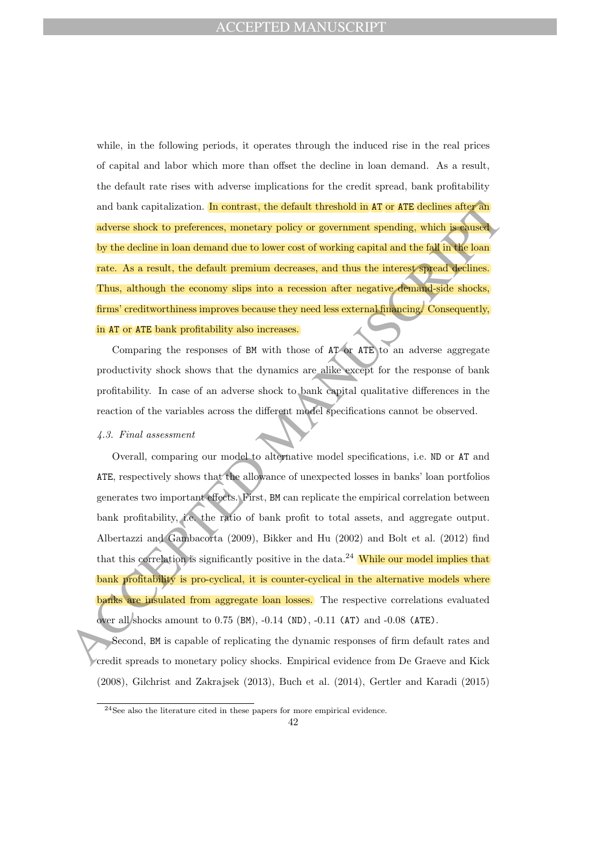while, in the following periods, it operates through the induced rise in the real prices of capital and labor which more than offset the decline in loan demand. As a result, the default rate rises with adverse implications for the credit spread, bank profitability and bank capitalization. In contrast, the default threshold in AT or ATE declines after an adverse shock to preferences, monetary policy or government spending, which is caused by the decline in loan demand due to lower cost of working capital and the fall in the loan rate. As a result, the default premium decreases, and thus the interest spread declines. Thus, although the economy slips into a recession after negative demand-side shocks, firms' creditworthiness improves because they need less external financing. Consequently, in AT or ATE bank profitability also increases.

Comparing the responses of BM with those of AT or ATE to an adverse aggregate productivity shock shows that the dynamics are alike except for the response of bank profitability. In case of an adverse shock to bank capital qualitative differences in the reaction of the variables across the different model specifications cannot be observed.

### 4.3. Final assessment

and bank capitalization. In contrast, the default threshold in AT or ATE declines after and variety policy of government spending, which is one of the decline in bana denoted ban to lower cost of working capital and the f Overall, comparing our model to alternative model specifications, i.e. ND or AT and ATE, respectively shows that the allowance of unexpected losses in banks' loan portfolios generates two important effects. First, BM can replicate the empirical correlation between bank profitability, i.e. the ratio of bank profit to total assets, and aggregate output. Albertazzi and Gambacorta (2009), Bikker and Hu (2002) and Bolt et al. (2012) find that this correlation is significantly positive in the data.<sup>24</sup> While our model implies that bank profitability is pro-cyclical, it is counter-cyclical in the alternative models where banks are insulated from aggregate loan losses. The respective correlations evaluated over all shocks amount to 0.75 (BM), -0.14 (ND), -0.11 (AT) and -0.08 (ATE).

Second, BM is capable of replicating the dynamic responses of firm default rates and credit spreads to monetary policy shocks. Empirical evidence from De Graeve and Kick (2008), Gilchrist and Zakrajsek (2013), Buch et al. (2014), Gertler and Karadi (2015)

<sup>24</sup>See also the literature cited in these papers for more empirical evidence.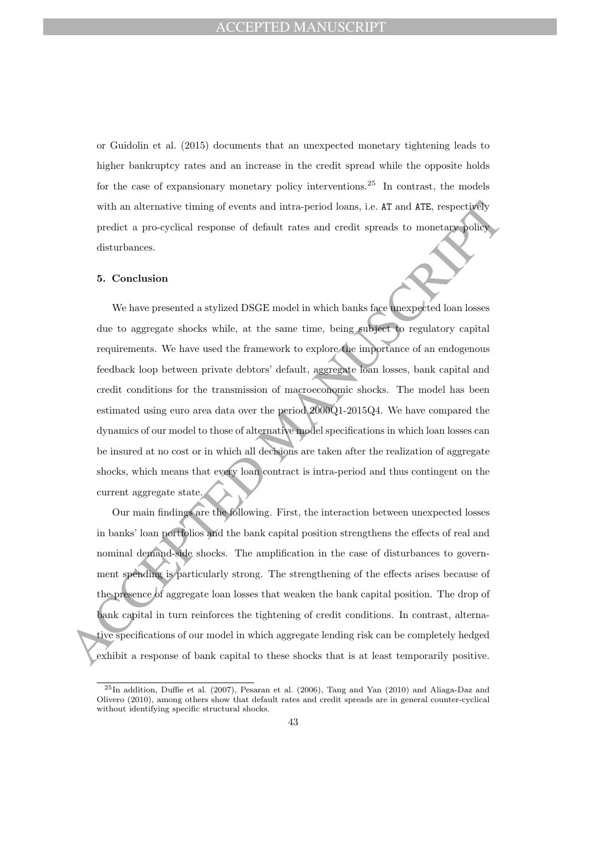or Guidolin et al. (2015) documents that an unexpected monetary tightening leads to higher bankruptcy rates and an increase in the credit spread while the opposite holds for the case of expansionary monetary policy interventions.<sup>25</sup> In contrast, the models with an alternative timing of events and intra-period loans, i.e. AT and ATE, respectively predict a pro-cyclical response of default rates and credit spreads to monetary policy disturbances.

### 5. Conclusion

with an alternative timing of events and intra-period loans, i.e. AT and ATE, respectively, precist a pro-cyclical response of default rates and credit spreads to monetary policy disturbances.<br>
5. Conclusion We have prese We have presented a stylized DSGE model in which banks face unexpected loan losses due to aggregate shocks while, at the same time, being subject to regulatory capital requirements. We have used the framework to explore the importance of an endogenous feedback loop between private debtors' default, aggregate loan losses, bank capital and credit conditions for the transmission of macroeconomic shocks. The model has been estimated using euro area data over the period 2000Q1-2015Q4. We have compared the dynamics of our model to those of alternative model specifications in which loan losses can be insured at no cost or in which all decisions are taken after the realization of aggregate shocks, which means that every loan contract is intra-period and thus contingent on the current aggregate state.

Our main findings are the following. First, the interaction between unexpected losses in banks' loan portfolios and the bank capital position strengthens the effects of real and nominal demand-side shocks. The amplification in the case of disturbances to government spending is particularly strong. The strengthening of the effects arises because of the presence of aggregate loan losses that weaken the bank capital position. The drop of bank capital in turn reinforces the tightening of credit conditions. In contrast, alternative specifications of our model in which aggregate lending risk can be completely hedged exhibit a response of bank capital to these shocks that is at least temporarily positive.

<sup>25</sup>In addition, Duffie et al. (2007), Pesaran et al. (2006), Tang and Yan (2010) and Aliaga-Daz and Olivero (2010), among others show that default rates and credit spreads are in general counter-cyclical without identifying specific structural shocks.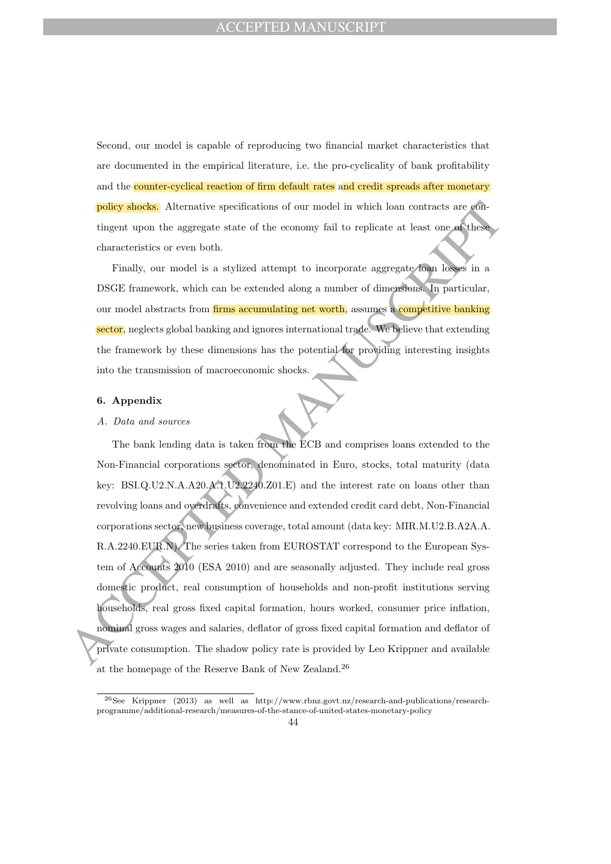Second, our model is capable of reproducing two financial market characteristics that are documented in the empirical literature, i.e. the pro-cyclicality of bank profitability and the counter-cyclical reaction of firm default rates and credit spreads after monetary policy shocks. Alternative specifications of our model in which loan contracts are contingent upon the aggregate state of the economy fail to replicate at least one of these characteristics or even both.

Finally, our model is a stylized attempt to incorporate aggregate loan losses in a DSGE framework, which can be extended along a number of dimensions. In particular, our model abstracts from firms accumulating net worth, assumes a competitive banking sector, neglects global banking and ignores international trade. We believe that extending the framework by these dimensions has the potential for providing interesting insights into the transmission of macroeconomic shocks.

# 6. Appendix

### A. Data and sources

**policy shocks.** Alternative specifications of our model in which loan contracts are generated in the compact state of the conomy fail to replicate at least one of these characteristics or even both.<br>
The ally, our model The bank lending data is taken from the ECB and comprises loans extended to the Non-Financial corporations sector, denominated in Euro, stocks, total maturity (data key: BSI.Q.U2.N.A.A20.A.1.U2.2240.Z01.E) and the interest rate on loans other than revolving loans and overdrafts, convenience and extended credit card debt, Non-Financial corporations sector, new business coverage, total amount (data key: MIR.M.U2.B.A2A.A. R.A.2240.EUR.N). The series taken from EUROSTAT correspond to the European System of Accounts 2010 (ESA 2010) and are seasonally adjusted. They include real gross domestic product, real consumption of households and non-profit institutions serving households, real gross fixed capital formation, hours worked, consumer price inflation, nominal gross wages and salaries, deflator of gross fixed capital formation and deflator of private consumption. The shadow policy rate is provided by Leo Krippner and available at the homepage of the Reserve Bank of New Zealand.<sup>26</sup>

<sup>26</sup>See Krippner (2013) as well as http://www.rbnz.govt.nz/research-and-publications/researchprogramme/additional-research/measures-of-the-stance-of-united-states-monetary-policy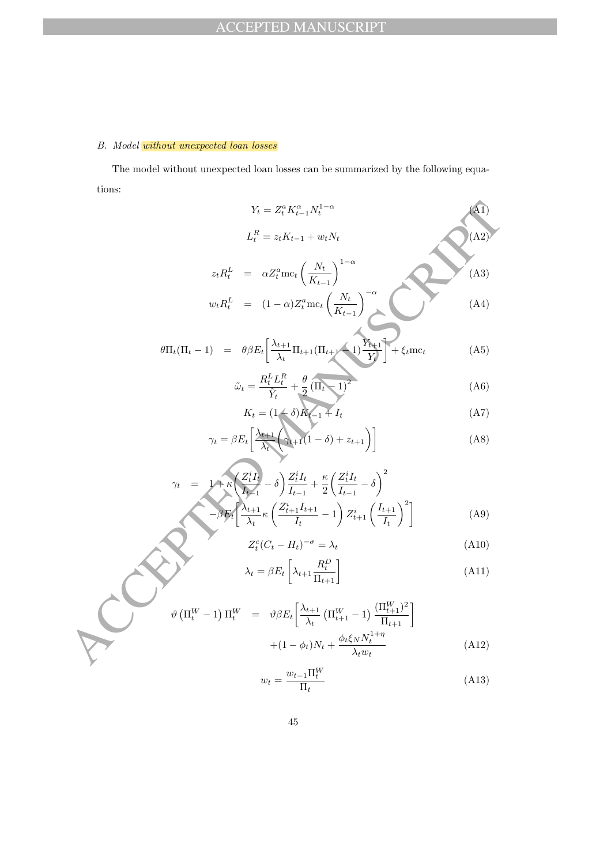# B. Model without unexpected loan losses

The model without unexpected loan losses can be summarized by the following equations:

$$
Y_{t} = Z_{t}^{n} K_{t-1}^{\alpha} N_{t}^{1-\alpha}
$$
\n
$$
L_{t}^{R} = z_{t} K_{t-1} + w_{t} N_{t}
$$
\n
$$
z_{t} R_{t}^{L} = \alpha Z_{t}^{\alpha} \text{mc}_{t} \left(\frac{N_{t}}{K_{t-1}}\right)^{1-\alpha}
$$
\n
$$
w_{t} R_{t}^{L} = (1-\alpha) Z_{t}^{\alpha} \text{mc}_{t} \left(\frac{N_{t}}{K_{t-1}}\right)^{-\alpha}
$$
\n(A3)\n
$$
w_{t} R_{t}^{L} = (1-\alpha) Z_{t}^{\alpha} \text{mc}_{t} \left(\frac{N_{t}}{K_{t-1}}\right)^{-\alpha}
$$
\n(A4)\n
$$
\hat{\omega}_{t} = \frac{R_{t}^{L} L_{t}^{R}}{Y_{t}} + \frac{\theta}{2} (\Pi_{t} - 1)^{2}
$$
\n(A5)\n
$$
\hat{\omega}_{t} = (1-\delta) \hat{K}_{t-1} + I_{t} \qquad (A7)
$$
\n
$$
\gamma_{t} = \beta E_{t} \left[\frac{\lambda_{t+1}}{\lambda_{t}} \left(\frac{N_{t+1}}{N_{t-1}} - \delta\right) - z_{t+1}\right]
$$
\n(A8)\n
$$
\gamma_{t} = 1 + \kappa \left(\frac{Z_{t}^{t} I_{t}}{V_{t-1}} - \delta\right) \frac{Z_{t}^{t} I_{t}}{I_{t-1}} + \frac{\kappa}{2} \left(\frac{Z_{t}^{t} I_{t}}{I_{t-1}} - \delta\right)^{2}
$$
\n
$$
Z_{t}^{\alpha} (C_{t} - H_{t})^{-\sigma} = \lambda_{t} \qquad (A9)
$$
\n
$$
\lambda_{t} = \beta E_{t} \left[\lambda_{t+1} \frac{R_{t}^{D}}{I_{t+1}}\right]
$$
\n
$$
\vartheta (\Pi_{t}^{W} - 1) \Pi_{t}^{W} = \vartheta \beta E_{t} \left[\frac{\lambda_{t+1}}{\lambda_{t}} (\Pi_{t+1}^{W} - 1) \frac{(\Pi_{t+1}^{W})^{2}}{I_{t+1}}\right]
$$
\n
$$
+(1 - \phi_{t
$$

$$
\theta \Pi_t (\Pi_t - 1) = \theta \beta E_t \left[ \frac{\lambda_{t+1}}{\lambda_t} \Pi_{t+1} (\Pi_{t+1} - 1) \frac{Y_{t+1}}{Y_t} \right] + \xi_t m c_t \tag{A5}
$$

$$
\tilde{\omega}_t = \frac{R_t^L L_t^R}{\tilde{Y}_t} + \frac{\theta}{2} (\Pi_t - 1)^2
$$
\n(A6)

$$
K_t = (1 - \delta)K_{t-1} + I_t
$$
\n(A7)

$$
\gamma_t = \beta E_t \left[ \frac{\lambda_{t+1}}{\lambda_t} \left( \gamma_{t+1} (1 - \delta) + z_{t+1} \right) \right]
$$
 (A8)

$$
\gamma_t = 1 + \kappa \left( \frac{Z_t^i I_t}{I_{t-1}} - \delta \right) \frac{Z_t^i I_t}{I_{t-1}} + \frac{\kappa}{2} \left( \frac{Z_t^i I_t}{I_{t-1}} - \delta \right)^2
$$

$$
-\beta E_t \left[ \frac{\lambda_{t+1}}{\lambda_t} \kappa \left( \frac{Z_{t+1}^i I_{t+1}}{I_t} - 1 \right) Z_{t+1}^i \left( \frac{I_{t+1}}{I_t} \right)^2 \right]
$$
(A9)

$$
Z_t^c (C_t - H_t)^{-\sigma} = \lambda_t \tag{A10}
$$

$$
\lambda_t = \beta E_t \left[ \lambda_{t+1} \frac{R_t^D}{\Pi_{t+1}} \right] \tag{A11}
$$

$$
\vartheta\left(\Pi_t^W - 1\right)\Pi_t^W = \vartheta\beta E_t \left[\frac{\lambda_{t+1}}{\lambda_t}\left(\Pi_{t+1}^W - 1\right)\frac{(\Pi_{t+1}^W)^2}{\Pi_{t+1}}\right] + (1 - \phi_t)N_t + \frac{\phi_t\xi_N N_t^{1+\eta}}{\lambda_t w_t}
$$
\n(A12)

$$
w_t = \frac{w_{t-1} \Pi_t^W}{\Pi_t} \tag{A13}
$$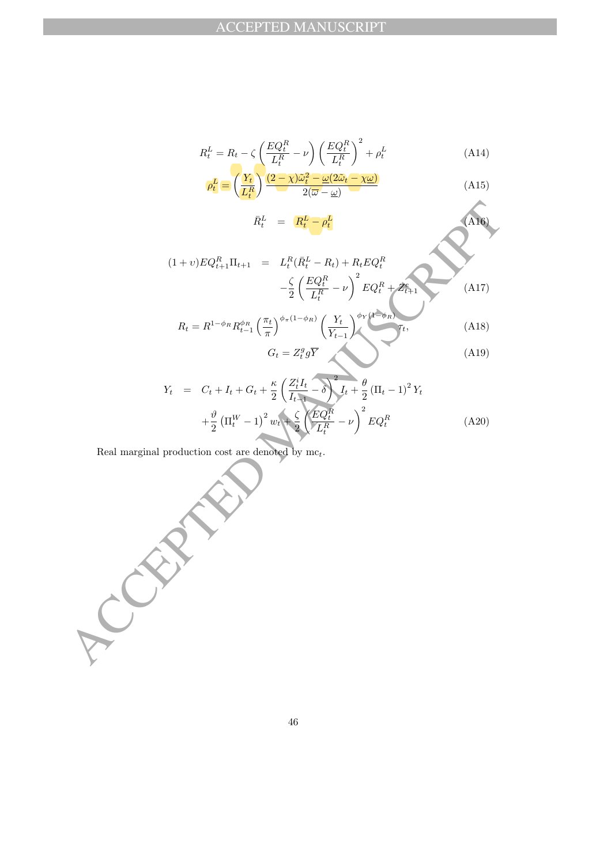$$
R_t^L = R_t - \zeta \left(\frac{EQ_t^R}{L_t^R} - \nu\right) \left(\frac{EQ_t^R}{L_t^R}\right)^2 + \rho_t^L
$$
\n(A14)\n
$$
\rho_t^L = \left(\frac{Y_t}{L_t^R}\right) \frac{(2-\chi)\tilde{\omega}_t^2 - \underline{\omega}(2\tilde{\omega}_t - \chi\underline{\omega})}{2(\overline{\omega} - \underline{\omega})}
$$
\n(A15)

$$
\begin{array}{rcl}\n(L_t^R) & & 2(\overline{\omega} - \underline{\omega}) \\
\bar{R}_t^L & = & \underline{R_t^L} - \rho_t^L\n\end{array}\n\tag{A16}
$$

$$
(1+v)EQ_{t+1}^{R}\Pi_{t+1} = L_t^R(\bar{R}_t^L - R_t) + R_tEQ_t^R
$$
  

$$
- \frac{\zeta}{2} \left(\frac{EQ_t^R}{L_t^R} - \nu\right)^2 EQ_t^R + Z_{t+1}^e
$$
  

$$
R_t = R^{1-\phi_R} R_{t-1}^{\phi_R} \left(\frac{\pi_t}{\pi}\right)^{\phi_{\pi}(1-\phi_R)} \left(\frac{Y_t}{Y_{t-1}}\right)^{\phi_Y(1-\phi_R)} T_t,
$$
 (A18)

$$
G_t = Z_t^g g \overline{Y}
$$
 (A18)  

$$
G_t = Z_t^g g \overline{Y}
$$
 (A19)

$$
Y_t = C_t + I_t + G_t + \frac{\kappa}{2} \left( \frac{Z_t^i I_t}{I_{t-1}} - \delta \right)^2 I_t + \frac{\theta}{2} (\Pi_t - 1)^2 Y_t + \frac{\theta}{2} (\Pi_t^W - 1)^2 w_t + \frac{\zeta}{2} \left( \frac{EQ_t^R}{L_t^R} - \nu \right)^2 EQ_t^R \tag{A20}
$$

Real marginal production cost are denoted by  $\mathrm{mc}_t.$ 

$$
R_{t}^{L} = \frac{R_{t}^{L} - \rho_{t}^{L}}{R_{t}^{R} - R_{t}} \tag{A16}
$$
\n
$$
(1 + v)EQ_{t+1}^{R}\Pi_{t+1} = L_{t}^{R}(\bar{R}_{t}^{L} - R_{t}) + R_{t}EQ_{t}^{R}
$$
\n
$$
- \frac{\zeta}{2} \left( \frac{EQ_{t}^{R}}{L_{t}^{R}} - v \right)^{2} EQ_{t}^{R} + Z_{t+1}^{R}
$$
\n
$$
R_{t} = R^{1-\phi_{R}} R_{t-1}^{\phi_{R}} \left( \frac{\pi_{t}}{\pi} \right)^{\phi_{\pi}(1-\phi_{R})} \left( \frac{Y_{t}}{Y_{t-1}} \right)^{\phi_{\pi}(4-\phi_{R})} I_{t},
$$
\n
$$
G_{t} = Z_{t}^{q} g \overline{Y} \tag{A19}
$$
\n
$$
Y_{t} = C_{t} + I_{t} + G_{t} + \frac{\kappa}{2} \left( \frac{Z_{t}^{1} I_{t}}{I_{t}^{R}} - \frac{\delta}{2} \right) I_{t} + \frac{\theta}{2} (\Pi_{t} - 1)^{2} Y_{t}
$$
\n
$$
+ \frac{\theta}{2} (\Pi_{t}^{W} - 1)^{2} w_{t} + \frac{\zeta}{2} \left( \frac{EQ_{t}^{R}}{L_{t}^{R}} - \nu \right)^{2} EQ_{t}^{R} \tag{A20}
$$
\nReal marginal production cost are denoted by me<sub>t</sub>.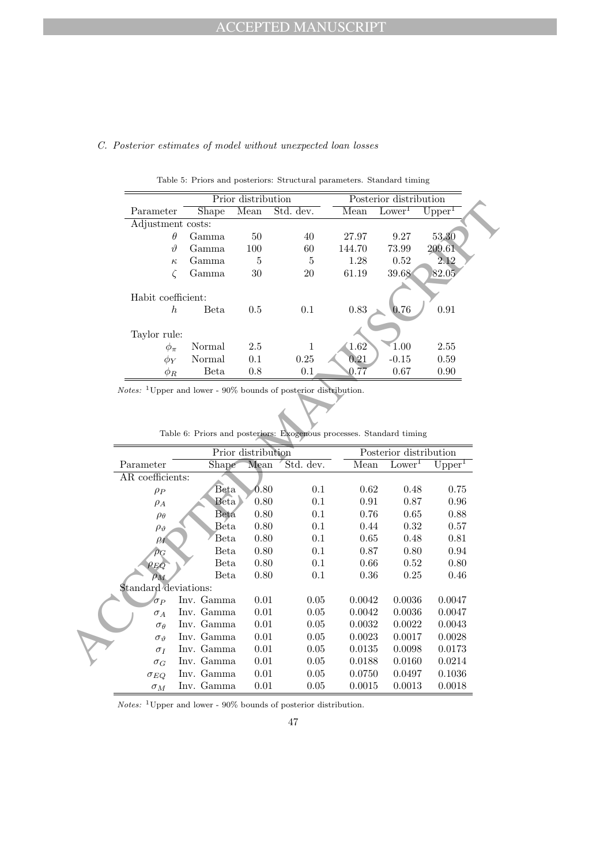# C. Posterior estimates of model without unexpected loan losses

|                    |             | Prior distribution |           |         | Posterior distribution |                    |  |
|--------------------|-------------|--------------------|-----------|---------|------------------------|--------------------|--|
| Parameter          | Shape       | Mean               | Std. dev. | Mean    | Lower <sup>1</sup>     | Upper <sup>1</sup> |  |
| Adjustment costs:  |             |                    |           |         |                        |                    |  |
| $\theta$           | Gamma       | 50                 | 40        | 27.97   | 9.27                   | 53.30              |  |
| 19                 | Gamma       | 100                | 60        | 144.70  | 73.99                  | 209.61             |  |
| $\kappa$           | Gamma       | 5                  | 5         | 1.28    | 0.52                   | 2.12               |  |
|                    | Gamma       | 30                 | 20        | 61.19   | 39.68                  | 82.05              |  |
| Habit coefficient: |             |                    |           |         |                        |                    |  |
| h                  | <b>Beta</b> | 0.5                | 0.1       | 0.83    | 0.76                   | 0.91               |  |
| Taylor rule:       |             |                    |           |         |                        |                    |  |
| $\phi_\pi$         | Normal      | 2.5                |           | 1.62    | 1.00                   | 2.55               |  |
| $\phi_Y$           | Normal      | 0.1                | 0.25      | 0.21    | $-0.15$                | 0.59               |  |
| $\phi_R$           | Beta        | 0.8                | 0.1       | $0.7\,$ | 0.67                   | 0.90               |  |

Table 5: Priors and posteriors: Structural parameters. Standard timing

|                      | <b>THAT GISTINGERIAL</b>                                                      |                    |              | I opterior diperintendir |                        |                      |
|----------------------|-------------------------------------------------------------------------------|--------------------|--------------|--------------------------|------------------------|----------------------|
| Parameter            | Shape                                                                         | Mean               | Std. dev.    | Mean                     | Lower <sup>1</sup>     | $\overline{Upper}^1$ |
| Adjustment costs:    |                                                                               |                    |              |                          |                        |                      |
|                      | $\theta$<br>Gamma                                                             | $50\,$             | 40           | 27.97                    | 9.27                   | 53.30                |
|                      | $\vartheta$<br>Gamma                                                          | 100                | 60           | 144.70                   | 73.99                  | 209.61               |
|                      | Gamma<br>$\kappa$                                                             | $\overline{5}$     | $\bf 5$      | 1.28                     | 0.52                   | 2.12                 |
|                      | $\zeta$<br>Gamma                                                              | $30\,$             | 20           | 61.19                    | 39.68                  | 82.05                |
|                      |                                                                               |                    |              |                          |                        |                      |
| Habit coefficient:   |                                                                               |                    |              |                          |                        |                      |
|                      | $\boldsymbol{h}$<br><b>Beta</b>                                               | 0.5                | $0.1\,$      | 0.83                     | 0.76                   | 0.91                 |
|                      |                                                                               |                    |              |                          |                        |                      |
| Taylor rule:         |                                                                               |                    |              |                          |                        |                      |
| $\phi_{\pi}$         | Normal                                                                        | $2.5\,$            | 1            | 1.62                     | 1.00                   | $2.55\,$             |
| $\phi_Y$             | Normal                                                                        | $0.1\,$            | 0.25         | 0.21                     | $-0.15$                | $0.59\,$             |
| $\phi_R$             | <b>Beta</b>                                                                   | 0.8                | 0.1          | 0.77                     | 0.67                   | 0.90                 |
|                      | $Notes:$ <sup>1</sup> Upper and lower - 90% bounds of posterior distribution. |                    |              |                          |                        |                      |
|                      |                                                                               |                    |              |                          |                        |                      |
|                      |                                                                               |                    |              |                          |                        |                      |
|                      |                                                                               |                    |              |                          |                        |                      |
|                      |                                                                               |                    |              |                          |                        |                      |
|                      |                                                                               |                    |              |                          |                        |                      |
|                      | Table 6: Priors and posteriors: Exogenous processes. Standard timing          |                    |              |                          |                        |                      |
|                      |                                                                               | Prior distribution |              |                          | Posterior distribution |                      |
| Parameter            | Shape                                                                         | Mean               | Std. dev.    | Mean                     | Lower <sup>1</sup>     | Upper <sup>1</sup>   |
| AR coefficients:     |                                                                               |                    |              |                          |                        |                      |
| $\rho_P$             | Beta                                                                          | 0.80               | $0.1\,$      | $0.62\,$                 | 0.48                   | $0.75\,$             |
| $\rho_A$             | Beta                                                                          | $0.80\,$           | 0.1          | 0.91                     | 0.87                   | 0.96                 |
| $\rho_\theta$        | Beta                                                                          | $0.80\,$           | 0.1          | 0.76                     | 0.65                   | $0.88\,$             |
| $\rho_{\vartheta}$   | Beta                                                                          | $0.80\,$           | 0.1          | 0.44                     | 0.32                   | $0.57\,$             |
| $\rho_I$             | Beta                                                                          | 0.80               | 0.1          | 0.65                     | 0.48                   | 0.81                 |
| $\rho_G$             | Beta                                                                          | $0.80\,$           | 0.1          | $0.87\,$                 | $0.80\,$               | 0.94                 |
| $\rho_{EQ}$          | Beta                                                                          | 0.80               | 0.1          | 0.66                     | 0.52                   | $0.80\,$             |
| $\rho_M$             | <b>Beta</b>                                                                   | 0.80               | 0.1          | 0.36                     | 0.25                   | 0.46                 |
| Standard deviations: |                                                                               |                    |              |                          |                        |                      |
| $\sigma_P$           | Inv. Gamma                                                                    | 0.01               | 0.05         | 0.0042                   | 0.0036                 | 0.0047               |
| $\sigma_A$           | Inv. Gamma                                                                    | 0.01               | 0.05         | 0.0042                   | 0.0036                 | 0.0047               |
| $\sigma_{\theta}$    | Inv. Gamma                                                                    | $0.01\,$           | 0.05         | 0.0032                   | 0.0022                 | 0.0043               |
| $\sigma_{\vartheta}$ | Inv. Gamma                                                                    | $0.01\,$           | 0.05         | 0.0023                   | 0.0017                 | 0.0028               |
| $\sigma_I$           | Inv. Gamma                                                                    | 0.01               | $0.05\,$     | 0.0135                   | 0.0098                 | 0.0173               |
| $\sigma_G$           | Inv. Gamma                                                                    | 0.01               | $0.05\,$     | 0.0188                   | 0.0160                 | 0.0214               |
| $\sigma_{EQ}$        | Inv. Gamma<br>Inv. Gamma                                                      | 0.01<br>0.01       | 0.05<br>0.05 | 0.0750<br>0.0015         | 0.0497<br>0.0013       | 0.1036<br>0.0018     |

Table 6: Priors and posteriors: Exogenous processes. Standard timing

 $Notes:$   $^1 \text{Upper}$  and lower -  $90\%$  bounds of posterior distribution.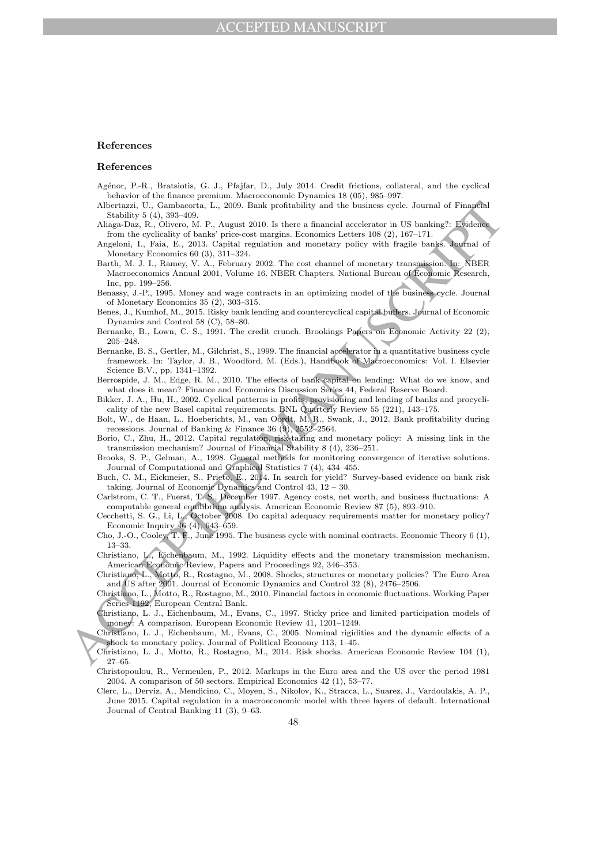#### References

#### References

- Agénor, P.-R., Bratsiotis, G. J., Pfajfar, D., July 2014. Credit frictions, collateral, and the cyclical behavior of the finance premium. Macroeconomic Dynamics 18 (05), 985–997.
- Albertazzi, U., Gambacorta, L., 2009. Bank profitability and the business cycle. Journal of Financial Stability 5 (4), 393–409.
- Aliaga-Daz, R., Olivero, M. P., August 2010. Is there a financial accelerator in US banking?: Evidence from the cyclicality of banks' price-cost margins. Economics Letters 108 (2), 167–171.
- Angeloni, I., Faia, E., 2013. Capital regulation and monetary policy with fragile banks. Journal of Monetary Economics 60 (3), 311–324.
- Barth, M. J. I., Ramey, V. A., February 2002. The cost channel of monetary transmission. In: NBER Macroeconomics Annual 2001, Volume 16. NBER Chapters. National Bureau of Economic Research, Inc, pp. 199–256.
- Benassy, J.-P., 1995. Money and wage contracts in an optimizing model of the business cycle. Journal of Monetary Economics 35 (2), 303–315.
- Benes, J., Kumhof, M., 2015. Risky bank lending and countercyclical capital buffers. Journal of Economic Dynamics and Control 58 (C), 58–80.
- Bernanke, B., Lown, C. S., 1991. The credit crunch. Brookings Papers on Economic Activity 22 (2), 205–248.
- Allectazion: U. Combasson, L., 2000. Bank probability and the business cyclos Journal of Emays has a space of the significal particles in the significant of the significant Angoles ( $\lambda$ , 1997, 1997, 1997, 1997, 1997, 199 Bernanke, B. S., Gertler, M., Gilchrist, S., 1999. The financial accelerator in a quantitative business cycle framework. In: Taylor, J. B., Woodford, M. (Eds.), Handbook of Macroeconomics: Vol. I. Elsevier Science B.V., pp. 1341–1392.
	- Berrospide, J. M., Edge, R. M., 2010. The effects of bank capital on lending: What do we know, and what does it mean? Finance and Economics Discussion Series 44, Federal Reserve Board.
	- Bikker, J. A., Hu, H., 2002. Cyclical patterns in profits, provisioning and lending of banks and procyclicality of the new Basel capital requirements. BNL Quarterly Review 55 (221), 143–175.
	- Bolt, W., de Haan, L., Hoeberichts, M., van Oordt, M. R., Swank, J., 2012. Bank profitability during recessions. Journal of Banking & Finance 36 (9), 2552–2564.
	- Borio, C., Zhu, H., 2012. Capital regulation, risk-taking and monetary policy: A missing link in the transmission mechanism? Journal of Financial Stability 8 (4), 236–251.
	- Brooks, S. P., Gelman, A., 1998. General methods for monitoring convergence of iterative solutions. Journal of Computational and Graphical Statistics 7 (4), 434–455.
	- Buch, C. M., Eickmeier, S., Prieto, E., 2014. In search for yield? Survey-based evidence on bank risk taking. Journal of Economic Dynamics and Control 43, 12 – 30.
	- Carlstrom, C. T., Fuerst, T. S., December 1997. Agency costs, net worth, and business fluctuations: A computable general equilibrium analysis. American Economic Review 87 (5), 893–910.
	- Cecchetti, S. G., Li, L., October 2008. Do capital adequacy requirements matter for monetary policy? Economic Inquiry 46 (4), 643–659.
	- Cho, J.-O., Cooley, T. F., June 1995. The business cycle with nominal contracts. Economic Theory 6 (1), 13–33.
	- Christiano, L., Eichenbaum, M., 1992. Liquidity effects and the monetary transmission mechanism. American Economic Review, Papers and Proceedings 92, 346–353.
	- Christiano, L., Motto, R., Rostagno, M., 2008. Shocks, structures or monetary policies? The Euro Area and US after 2001. Journal of Economic Dynamics and Control 32 (8), 2476–2506.
	- Christiano, L., Motto, R., Rostagno, M., 2010. Financial factors in economic fluctuations. Working Paper Series 1192, European Central Bank.
	- Christiano, L. J., Eichenbaum, M., Evans, C., 1997. Sticky price and limited participation models of money: A comparison. European Economic Review 41, 1201–1249.
	- Christiano, L. J., Eichenbaum, M., Evans, C., 2005. Nominal rigidities and the dynamic effects of a shock to monetary policy. Journal of Political Economy 113, 1–45.
	- Christiano, L. J., Motto, R., Rostagno, M., 2014. Risk shocks. American Economic Review 104 (1), 27–65.
	- Christopoulou, R., Vermeulen, P., 2012. Markups in the Euro area and the US over the period 1981 2004. A comparison of 50 sectors. Empirical Economics 42 (1), 53–77.
	- Clerc, L., Derviz, A., Mendicino, C., Moyen, S., Nikolov, K., Stracca, L., Suarez, J., Vardoulakis, A. P., June 2015. Capital regulation in a macroeconomic model with three layers of default. International Journal of Central Banking 11 (3), 9–63.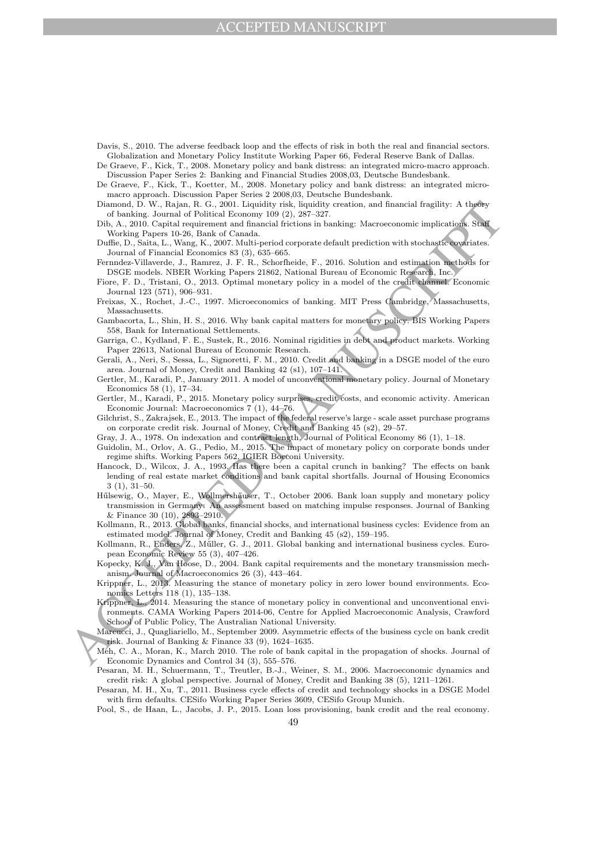# CCEPTED MANUSCRIPT

Davis, S., 2010. The adverse feedback loop and the effects of risk in both the real and financial sectors. Globalization and Monetary Policy Institute Working Paper 66, Federal Reserve Bank of Dallas.

De Graeve, F., Kick, T., 2008. Monetary policy and bank distress: an integrated micro-macro approach. Discussion Paper Series 2: Banking and Financial Studies 2008,03, Deutsche Bundesbank.

De Graeve, F., Kick, T., Koetter, M., 2008. Monetary policy and bank distress: an integrated micromacro approach. Discussion Paper Series 2 2008,03, Deutsche Bundesbank.

Diamond, D. W., Rajan, R. G., 2001. Liquidity risk, liquidity creation, and financial fragility: A theory of banking. Journal of Political Economy 109 (2), 287–327.

Dib, A., 2010. Capital requirement and financial frictions in banking: Macroeconomic implications. Staff Working Papers 10-26, Bank of Canada.

Duffie, D., Saita, L., Wang, K., 2007. Multi-period corporate default prediction with stochastic covariates. Journal of Financial Economics 83 (3), 635–665.

Fernndez-Villaverde, J., Ramrez, J. F. R., Schorfheide, F., 2016. Solution and estimation methods for DSGE models. NBER Working Papers 21862, National Bureau of Economic Research, Inc.

Fiore, F. D., Tristani, O., 2013. Optimal monetary policy in a model of the credit channel. Economic Journal 123 (571), 906–931.

Freixas, X., Rochet, J.-C., 1997. Microeconomics of banking. MIT Press Cambridge, Massachusetts, Massachusetts.

Gambacorta, L., Shin, H. S., 2016. Why bank capital matters for monetary policy. BIS Working Papers 558, Bank for International Settlements.

Garriga, C., Kydland, F. E., Sustek, R., 2016. Nominal rigidities in debt and product markets. Working Paper 22613, National Bureau of Economic Research.

Gerali, A., Neri, S., Sessa, L., Signoretti, F. M., 2010. Credit and banking in a DSGE model of the euro area. Journal of Money, Credit and Banking 42 (s1), 107–141.

Gertler, M., Karadi, P., January 2011. A model of unconventional monetary policy. Journal of Monetary Economics 58 (1), 17–34.

Gertler, M., Karadi, P., 2015. Monetary policy surprises, credit costs, and economic activity. American Economic Journal: Macroeconomics 7 (1), 44–76.

Gilchrist, S., Zakrajsek, E., 2013. The impact of the federal reserve's large - scale asset purchase programs on corporate credit risk. Journal of Money, Credit and Banking 45 (s2), 29–57.

Gray, J. A., 1978. On indexation and contract length. Journal of Political Economy 86 (1), 1–18.

Guidolin, M., Orlov, A. G., Pedio, M., 2015. The impact of monetary policy on corporate bonds under regime shifts. Working Papers 562, IGIER Bocconi University.

Hancock, D., Wilcox, J. A., 1993. Has there been a capital crunch in banking? The effects on bank lending of real estate market conditions and bank capital shortfalls. Journal of Housing Economics 3 (1), 31–50.

Hűlsewig, O., Mayer, E., Wollmershäuser, T., October 2006. Bank loan supply and monetary policy transmission in Germany: An assessment based on matching impulse responses. Journal of Banking & Finance 30 (10), 2893–2910.

Kollmann, R., 2013. Global banks, financial shocks, and international business cycles: Evidence from an estimated model. Journal of Money, Credit and Banking 45 (s2), 159–195.

Kollmann, R., Enders, Z., M˝uller, G. J., 2011. Global banking and international business cycles. European Economic Review 55 (3), 407–426.

Kopecky, K. J., Van Hoose, D., 2004. Bank capital requirements and the monetary transmission mechanism. Journal of Macroeconomics 26 (3), 443–464.

Krippner, L., 2013. Measuring the stance of monetary policy in zero lower bound environments. Economics Letters 118 (1), 135–138.

Discount B. W. Rajon R. C., 2001. Using the Highliter residents, and function of the string of the first of the string of the string of the string of the string of the string of the string of the string of the string of t Krippner, L., 2014. Measuring the stance of monetary policy in conventional and unconventional environments. CAMA Working Papers 2014-06, Centre for Applied Macroeconomic Analysis, Crawford School of Public Policy, The Australian National University.

Marcucci, J., Quagliariello, M., September 2009. Asymmetric effects of the business cycle on bank credit risk. Journal of Banking & Finance 33 (9), 1624–1635.

Meh, C. A., Moran, K., March 2010. The role of bank capital in the propagation of shocks. Journal of Economic Dynamics and Control 34 (3), 555–576.

Pesaran, M. H., Schuermann, T., Treutler, B.-J., Weiner, S. M., 2006. Macroeconomic dynamics and credit risk: A global perspective. Journal of Money, Credit and Banking 38 (5), 1211–1261.

Pesaran, M. H., Xu, T., 2011. Business cycle effects of credit and technology shocks in a DSGE Model with firm defaults. CESifo Working Paper Series 3609, CESifo Group Munich.

Pool, S., de Haan, L., Jacobs, J. P., 2015. Loan loss provisioning, bank credit and the real economy.